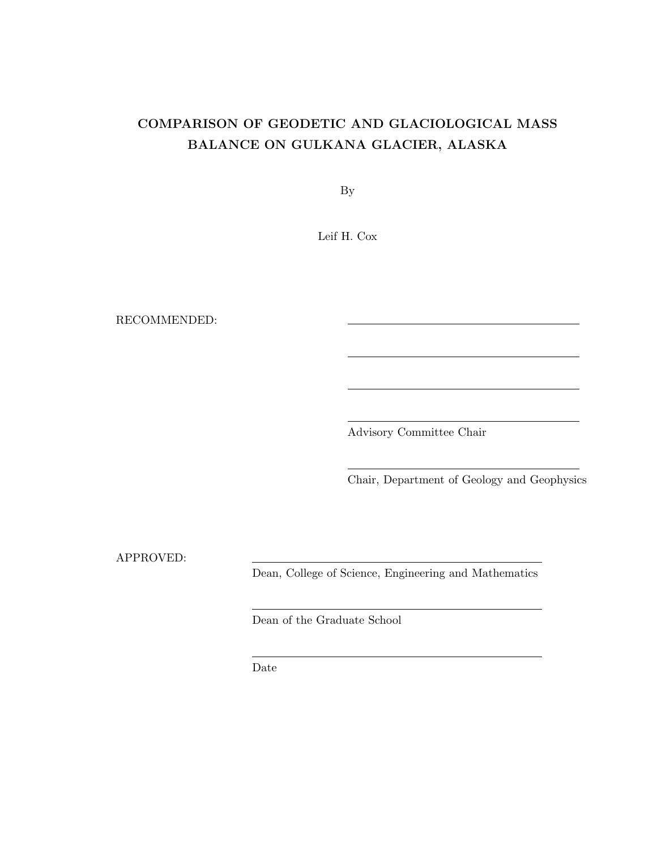### COMPARISON OF GEODETIC AND GLACIOLOGICAL MASS BALANCE ON GULKANA GLACIER, ALASKA

By

Leif H. Cox

RECOMMENDED:

Advisory Committee Chair

Chair, Department of Geology and Geophysics

APPROVED:

Dean, College of Science, Engineering and Mathematics

Dean of the Graduate School

Date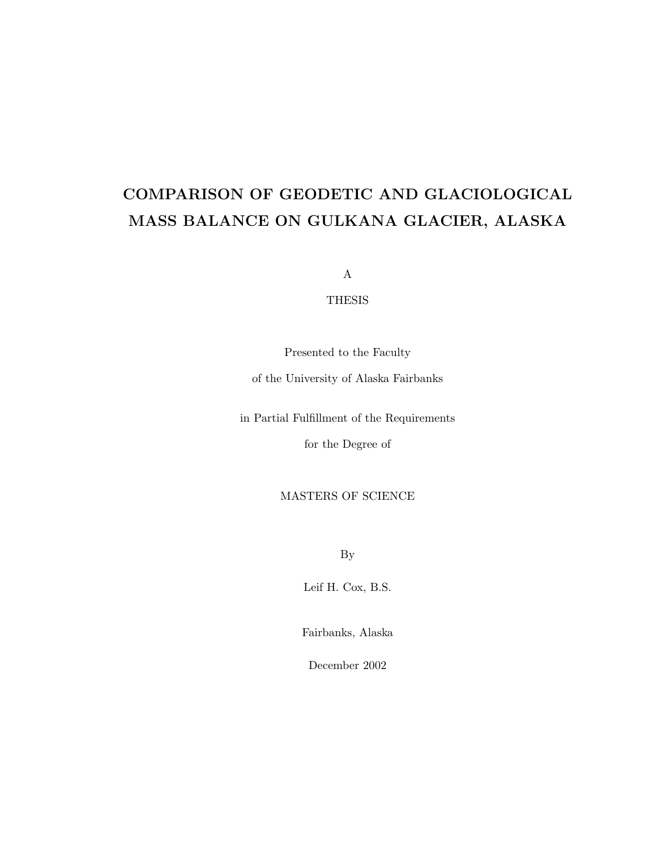### COMPARISON OF GEODETIC AND GLACIOLOGICAL MASS BALANCE ON GULKANA GLACIER, ALASKA

A

#### THESIS

Presented to the Faculty

of the University of Alaska Fairbanks

in Partial Fulfillment of the Requirements

for the Degree of

#### MASTERS OF SCIENCE

By

Leif H. Cox, B.S.

Fairbanks, Alaska

December 2002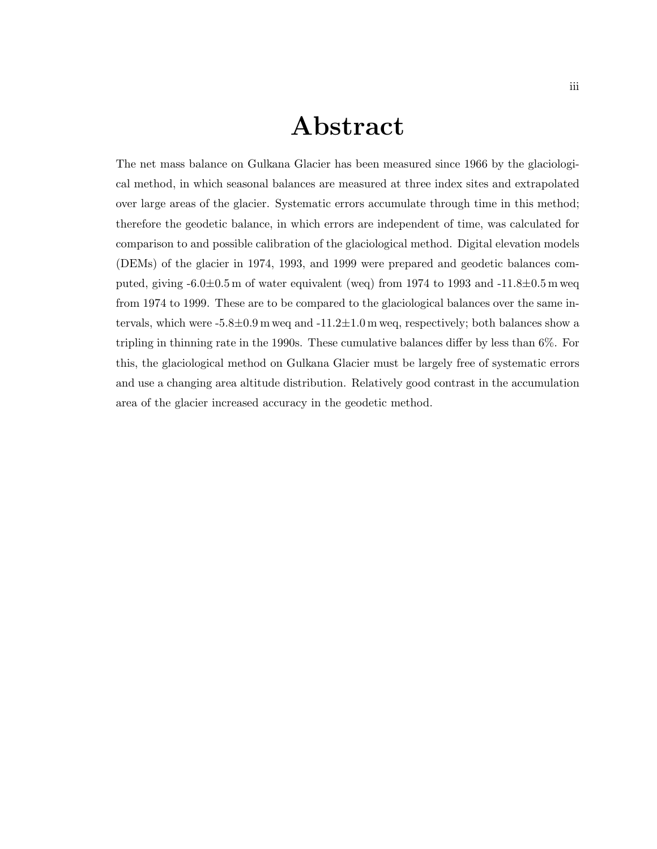### Abstract

The net mass balance on Gulkana Glacier has been measured since 1966 by the glaciological method, in which seasonal balances are measured at three index sites and extrapolated over large areas of the glacier. Systematic errors accumulate through time in this method; therefore the geodetic balance, in which errors are independent of time, was calculated for comparison to and possible calibration of the glaciological method. Digital elevation models (DEMs) of the glacier in 1974, 1993, and 1999 were prepared and geodetic balances computed, giving  $-6.0\pm0.5$  m of water equivalent (weq) from 1974 to 1993 and  $-11.8\pm0.5$  m weq from 1974 to 1999. These are to be compared to the glaciological balances over the same intervals, which were  $-5.8\pm0.9$  m weg and  $-11.2\pm1.0$  m weg, respectively; both balances show a tripling in thinning rate in the 1990s. These cumulative balances differ by less than 6%. For this, the glaciological method on Gulkana Glacier must be largely free of systematic errors and use a changing area altitude distribution. Relatively good contrast in the accumulation area of the glacier increased accuracy in the geodetic method.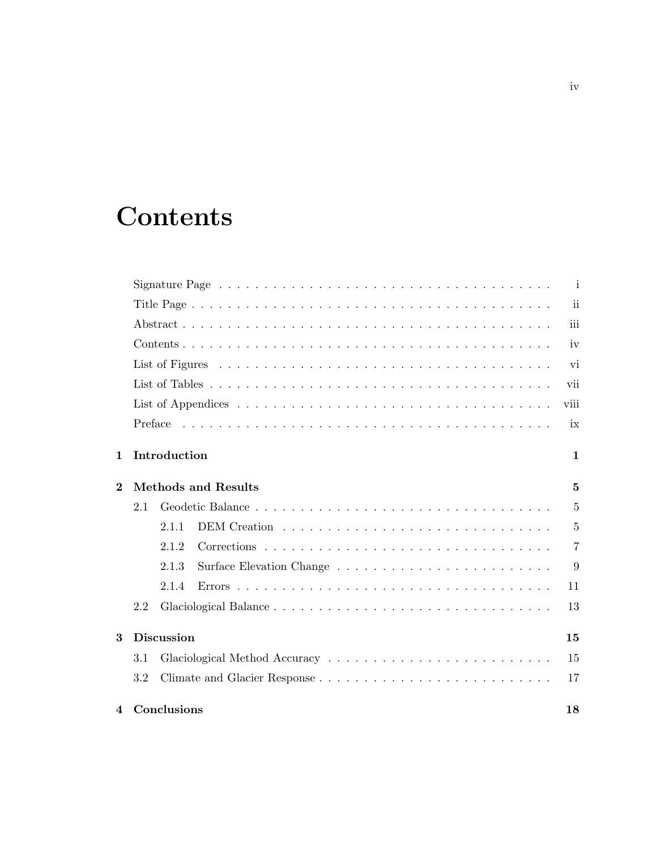# **Contents**

|                         |     |                   | Signature Page $\ldots \ldots \ldots \ldots \ldots \ldots \ldots \ldots \ldots \ldots \ldots \ldots \ldots$ | i              |
|-------------------------|-----|-------------------|-------------------------------------------------------------------------------------------------------------|----------------|
|                         |     |                   |                                                                                                             | ii             |
|                         |     |                   |                                                                                                             | iii            |
|                         |     |                   |                                                                                                             | iv             |
|                         |     |                   |                                                                                                             | vi             |
|                         |     |                   |                                                                                                             | vii            |
|                         |     |                   |                                                                                                             | viii           |
|                         |     |                   |                                                                                                             | ix             |
| 1                       |     | Introduction      |                                                                                                             | $\mathbf{1}$   |
| $\overline{\mathbf{2}}$ |     |                   | <b>Methods and Results</b>                                                                                  | $\overline{5}$ |
|                         | 2.1 |                   |                                                                                                             | $\overline{5}$ |
|                         |     | 2.1.1             |                                                                                                             | 5              |
|                         |     | 2.1.2             |                                                                                                             | $\overline{7}$ |
|                         |     | 2.1.3             |                                                                                                             | 9              |
|                         |     | 2.1.4             |                                                                                                             | 11             |
|                         | 2.2 |                   |                                                                                                             | 13             |
| 3                       |     | <b>Discussion</b> |                                                                                                             | 15             |
|                         | 3.1 |                   |                                                                                                             | 15             |
|                         | 3.2 |                   |                                                                                                             | 17             |
| 4                       |     | Conclusions       |                                                                                                             | 18             |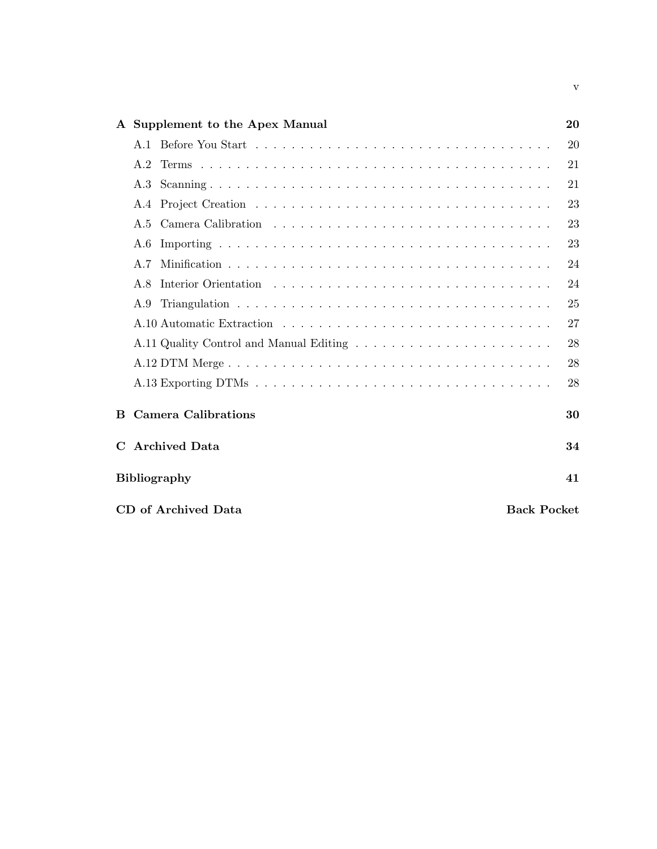|             |     | A Supplement to the Apex Manual           | 20 |
|-------------|-----|-------------------------------------------|----|
|             |     |                                           | 20 |
|             | A.2 |                                           | 21 |
|             | A.3 |                                           | 21 |
|             | A.4 |                                           | 23 |
|             | A.5 |                                           | 23 |
|             | A.6 |                                           | 23 |
|             | A.7 |                                           | 24 |
|             | A.8 |                                           | 24 |
|             | A.9 |                                           | 25 |
|             |     |                                           | 27 |
|             |     |                                           | 28 |
|             |     |                                           | 28 |
|             |     |                                           | 28 |
|             |     | <b>B</b> Camera Calibrations              | 30 |
| $\mathbf C$ |     | <b>Archived Data</b>                      | 34 |
|             |     | <b>Bibliography</b>                       | 41 |
|             |     | CD of Archived Data<br><b>Back Pocket</b> |    |

v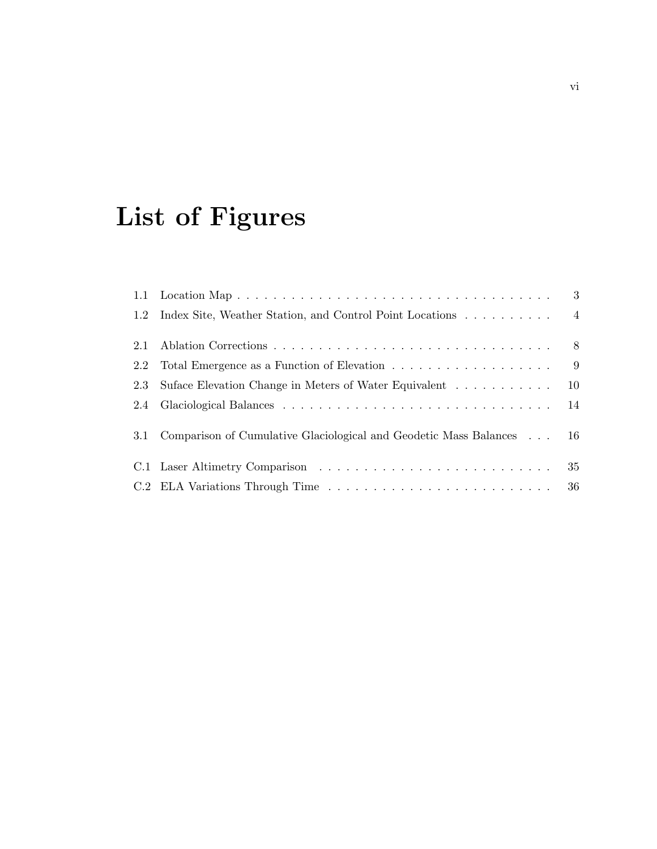# List of Figures

| 1.2 | Index Site, Weather Station, and Control Point Locations 4           |     |
|-----|----------------------------------------------------------------------|-----|
| 2.1 |                                                                      |     |
| 2.2 |                                                                      | - 9 |
| 2.3 | Suface Elevation Change in Meters of Water Equivalent                | 10  |
| 2.4 |                                                                      |     |
| 3.1 | Comparison of Cumulative Glaciological and Geodetic Mass Balances 16 |     |
|     |                                                                      |     |
|     |                                                                      |     |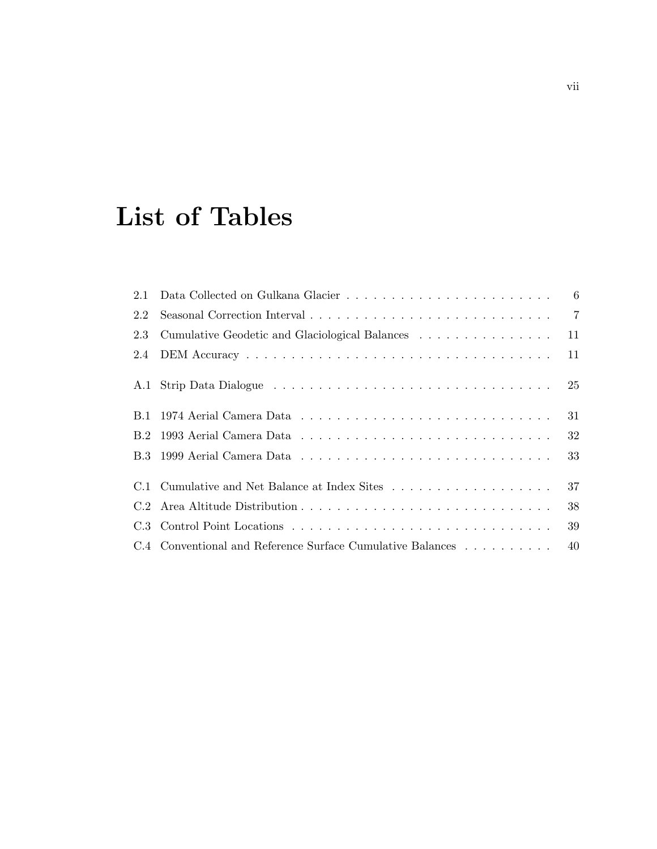# List of Tables

| 2.2 |                                                            |     |
|-----|------------------------------------------------------------|-----|
| 2.3 |                                                            |     |
| 2.4 |                                                            | 11  |
|     |                                                            |     |
|     |                                                            | 31  |
|     |                                                            | 32  |
|     |                                                            | 33  |
|     |                                                            | 37  |
|     |                                                            | 38  |
|     |                                                            | -39 |
|     | C.4 Conventional and Reference Surface Cumulative Balances | 40  |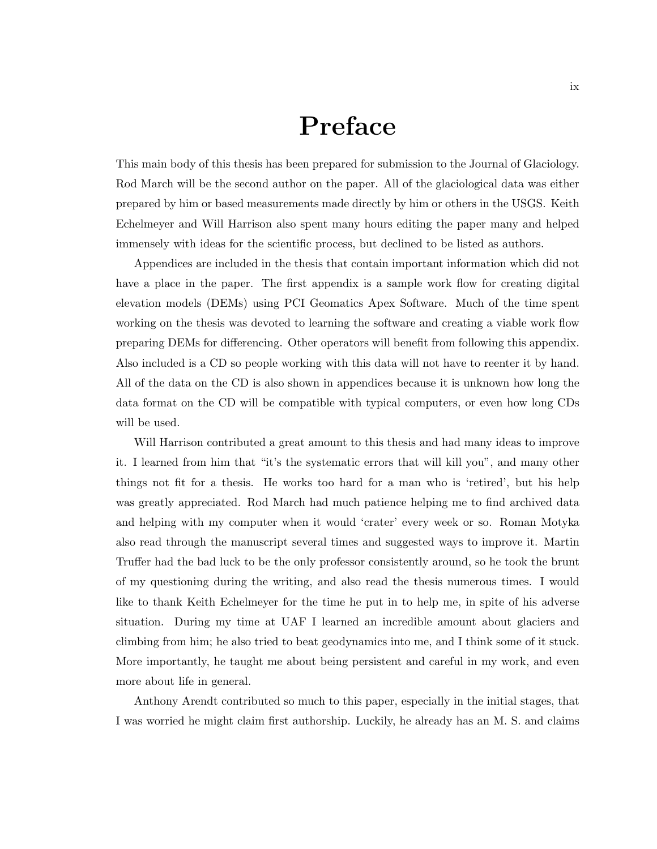### Preface

This main body of this thesis has been prepared for submission to the Journal of Glaciology. Rod March will be the second author on the paper. All of the glaciological data was either prepared by him or based measurements made directly by him or others in the USGS. Keith Echelmeyer and Will Harrison also spent many hours editing the paper many and helped immensely with ideas for the scientific process, but declined to be listed as authors.

Appendices are included in the thesis that contain important information which did not have a place in the paper. The first appendix is a sample work flow for creating digital elevation models (DEMs) using PCI Geomatics Apex Software. Much of the time spent working on the thesis was devoted to learning the software and creating a viable work flow preparing DEMs for differencing. Other operators will benefit from following this appendix. Also included is a CD so people working with this data will not have to reenter it by hand. All of the data on the CD is also shown in appendices because it is unknown how long the data format on the CD will be compatible with typical computers, or even how long CDs will be used.

Will Harrison contributed a great amount to this thesis and had many ideas to improve it. I learned from him that "it's the systematic errors that will kill you", and many other things not fit for a thesis. He works too hard for a man who is 'retired', but his help was greatly appreciated. Rod March had much patience helping me to find archived data and helping with my computer when it would 'crater' every week or so. Roman Motyka also read through the manuscript several times and suggested ways to improve it. Martin Truffer had the bad luck to be the only professor consistently around, so he took the brunt of my questioning during the writing, and also read the thesis numerous times. I would like to thank Keith Echelmeyer for the time he put in to help me, in spite of his adverse situation. During my time at UAF I learned an incredible amount about glaciers and climbing from him; he also tried to beat geodynamics into me, and I think some of it stuck. More importantly, he taught me about being persistent and careful in my work, and even more about life in general.

Anthony Arendt contributed so much to this paper, especially in the initial stages, that I was worried he might claim first authorship. Luckily, he already has an M. S. and claims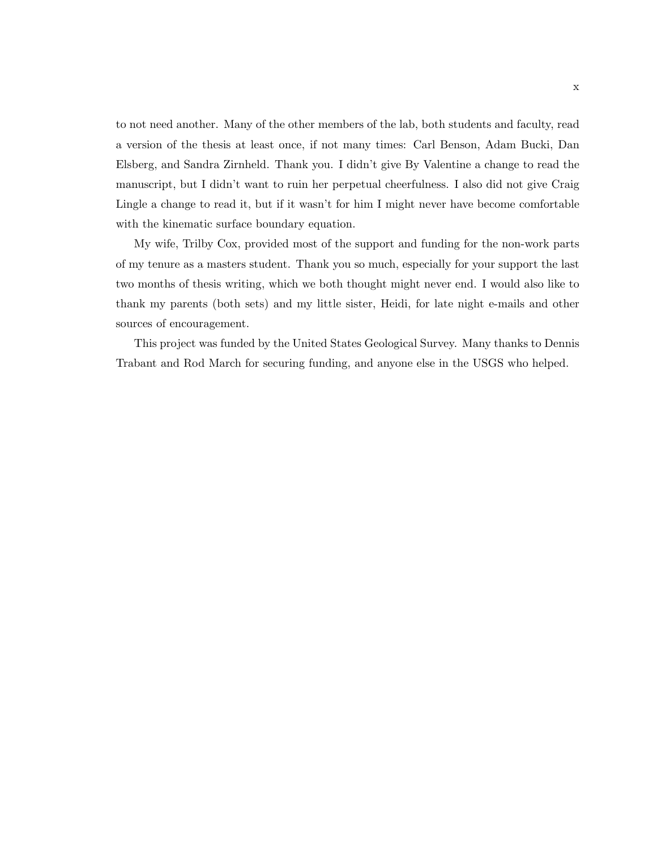to not need another. Many of the other members of the lab, both students and faculty, read a version of the thesis at least once, if not many times: Carl Benson, Adam Bucki, Dan Elsberg, and Sandra Zirnheld. Thank you. I didn't give By Valentine a change to read the manuscript, but I didn't want to ruin her perpetual cheerfulness. I also did not give Craig Lingle a change to read it, but if it wasn't for him I might never have become comfortable with the kinematic surface boundary equation.

My wife, Trilby Cox, provided most of the support and funding for the non-work parts of my tenure as a masters student. Thank you so much, especially for your support the last two months of thesis writing, which we both thought might never end. I would also like to thank my parents (both sets) and my little sister, Heidi, for late night e-mails and other sources of encouragement.

This project was funded by the United States Geological Survey. Many thanks to Dennis Trabant and Rod March for securing funding, and anyone else in the USGS who helped.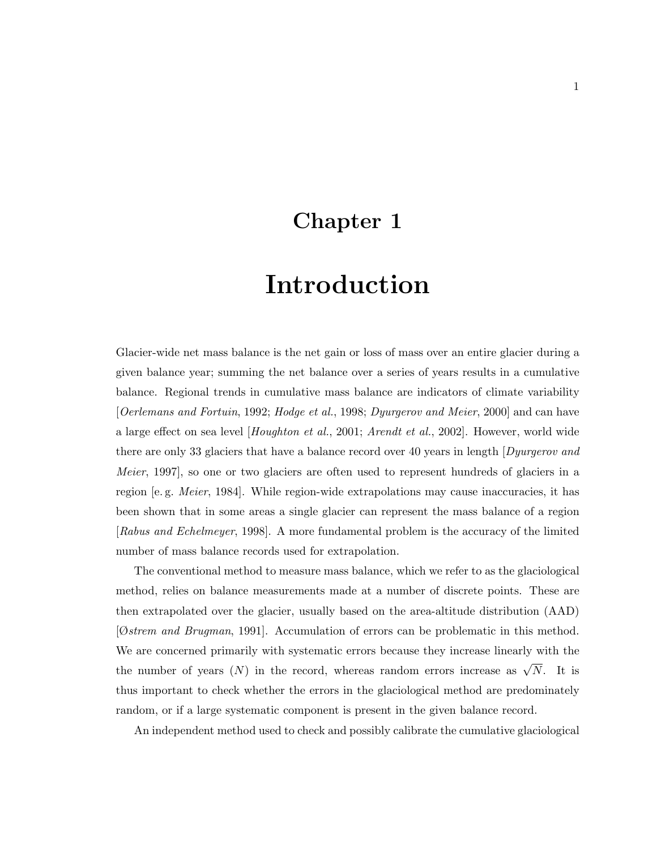### Chapter 1

# Introduction

Glacier-wide net mass balance is the net gain or loss of mass over an entire glacier during a given balance year; summing the net balance over a series of years results in a cumulative balance. Regional trends in cumulative mass balance are indicators of climate variability [Oerlemans and Fortuin, 1992; Hodge et al., 1998; Dyurgerov and Meier, 2000] and can have a large effect on sea level [Houghton et al., 2001; Arendt et al., 2002]. However, world wide there are only 33 glaciers that have a balance record over 40 years in length *Dyurgerov and* Meier, 1997], so one or two glaciers are often used to represent hundreds of glaciers in a region [e. g. Meier, 1984]. While region-wide extrapolations may cause inaccuracies, it has been shown that in some areas a single glacier can represent the mass balance of a region [Rabus and Echelmeyer, 1998]. A more fundamental problem is the accuracy of the limited number of mass balance records used for extrapolation.

The conventional method to measure mass balance, which we refer to as the glaciological method, relies on balance measurements made at a number of discrete points. These are then extrapolated over the glacier, usually based on the area-altitude distribution (AAD) [Østrem and Brugman, 1991]. Accumulation of errors can be problematic in this method. We are concerned primarily with systematic errors because they increase linearly with the the number of years  $(N)$  in the record, whereas random errors increase as  $\sqrt{N}$ . It is thus important to check whether the errors in the glaciological method are predominately random, or if a large systematic component is present in the given balance record.

An independent method used to check and possibly calibrate the cumulative glaciological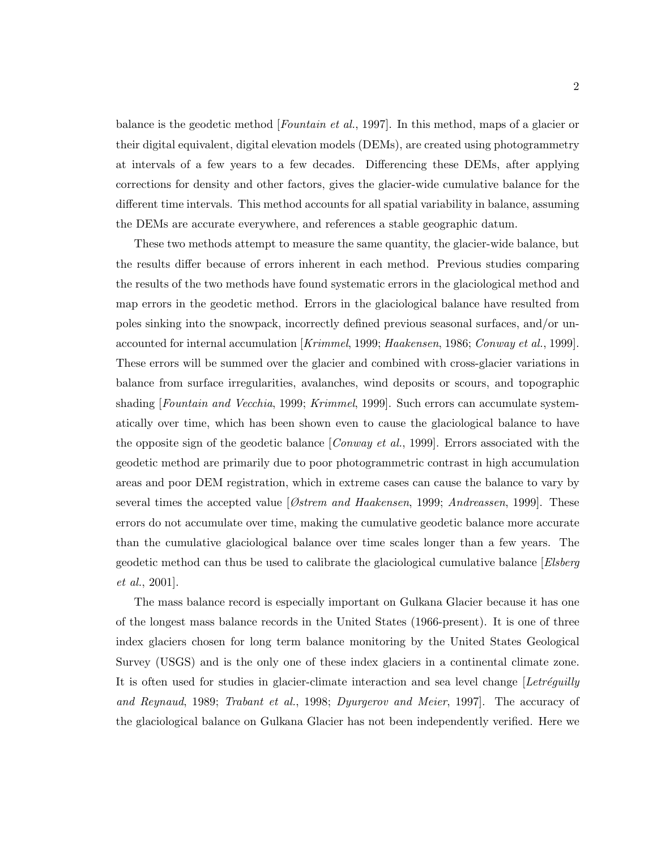balance is the geodetic method [*Fountain et al.*, 1997]. In this method, maps of a glacier or their digital equivalent, digital elevation models (DEMs), are created using photogrammetry at intervals of a few years to a few decades. Differencing these DEMs, after applying corrections for density and other factors, gives the glacier-wide cumulative balance for the different time intervals. This method accounts for all spatial variability in balance, assuming the DEMs are accurate everywhere, and references a stable geographic datum.

These two methods attempt to measure the same quantity, the glacier-wide balance, but the results differ because of errors inherent in each method. Previous studies comparing the results of the two methods have found systematic errors in the glaciological method and map errors in the geodetic method. Errors in the glaciological balance have resulted from poles sinking into the snowpack, incorrectly defined previous seasonal surfaces, and/or unaccounted for internal accumulation [Krimmel, 1999; Haakensen, 1986; Conway et al., 1999]. These errors will be summed over the glacier and combined with cross-glacier variations in balance from surface irregularities, avalanches, wind deposits or scours, and topographic shading [Fountain and Vecchia, 1999; Krimmel, 1999]. Such errors can accumulate systematically over time, which has been shown even to cause the glaciological balance to have the opposite sign of the geodetic balance [*Conway et al.*, 1999]. Errors associated with the geodetic method are primarily due to poor photogrammetric contrast in high accumulation areas and poor DEM registration, which in extreme cases can cause the balance to vary by several times the accepted value  $\lceil \mathcal{O}strem \text{ and Haakensen}, 1999; \text{Andreassen}, 1999\rceil$ . These errors do not accumulate over time, making the cumulative geodetic balance more accurate than the cumulative glaciological balance over time scales longer than a few years. The geodetic method can thus be used to calibrate the glaciological cumulative balance [Elsberg et al., 2001].

The mass balance record is especially important on Gulkana Glacier because it has one of the longest mass balance records in the United States (1966-present). It is one of three index glaciers chosen for long term balance monitoring by the United States Geological Survey (USGS) and is the only one of these index glaciers in a continental climate zone. It is often used for studies in glacier-climate interaction and sea level change  $[Let *refguiily*]$ and Reynaud, 1989; Trabant et al., 1998; Dyurgerov and Meier, 1997]. The accuracy of the glaciological balance on Gulkana Glacier has not been independently verified. Here we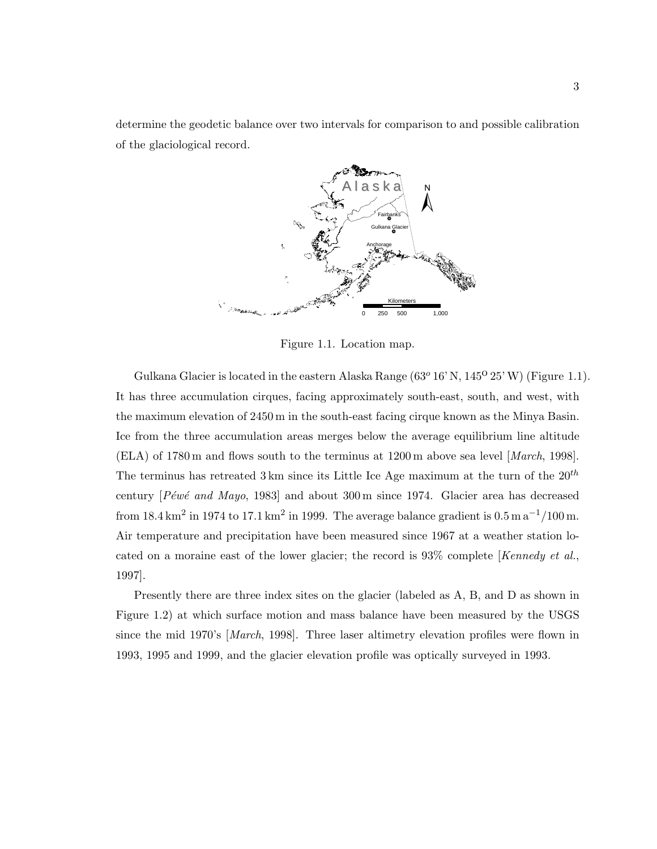determine the geodetic balance over two intervals for comparison to and possible calibration of the glaciological record.



Figure 1.1. Location map.

Gulkana Glacier is located in the eastern Alaska Range  $(63^{\circ} 16' N, 145^{\circ} 25' W)$  (Figure 1.1). It has three accumulation cirques, facing approximately south-east, south, and west, with the maximum elevation of 2450 m in the south-east facing cirque known as the Minya Basin. Ice from the three accumulation areas merges below the average equilibrium line altitude (ELA) of 1780 m and flows south to the terminus at 1200 m above sea level [March, 1998]. The terminus has retreated 3 km since its Little Ice Age maximum at the turn of the  $20^{th}$ century  $[Pewe'$  and Mayo, 1983] and about 300 m since 1974. Glacier area has decreased from 18.4 km<sup>2</sup> in 1974 to 17.1 km<sup>2</sup> in 1999. The average balance gradient is  $0.5 \text{ m a}^{-1}$ /100 m. Air temperature and precipitation have been measured since 1967 at a weather station located on a moraine east of the lower glacier; the record is  $93\%$  complete [Kennedy et al., 1997].

Presently there are three index sites on the glacier (labeled as A, B, and D as shown in Figure 1.2) at which surface motion and mass balance have been measured by the USGS since the mid 1970's [March, 1998]. Three laser altimetry elevation profiles were flown in 1993, 1995 and 1999, and the glacier elevation profile was optically surveyed in 1993.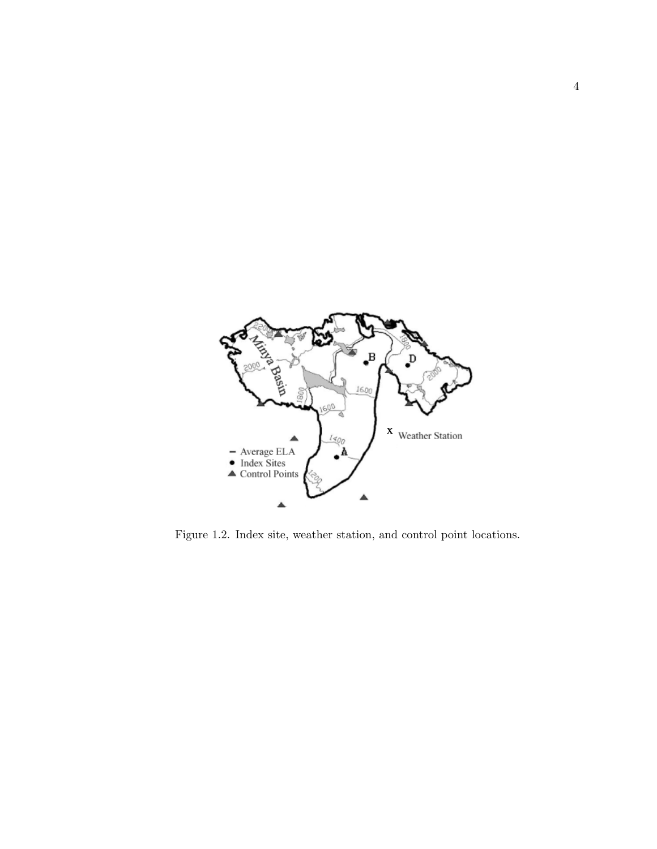

Figure 1.2. Index site, weather station, and control point locations.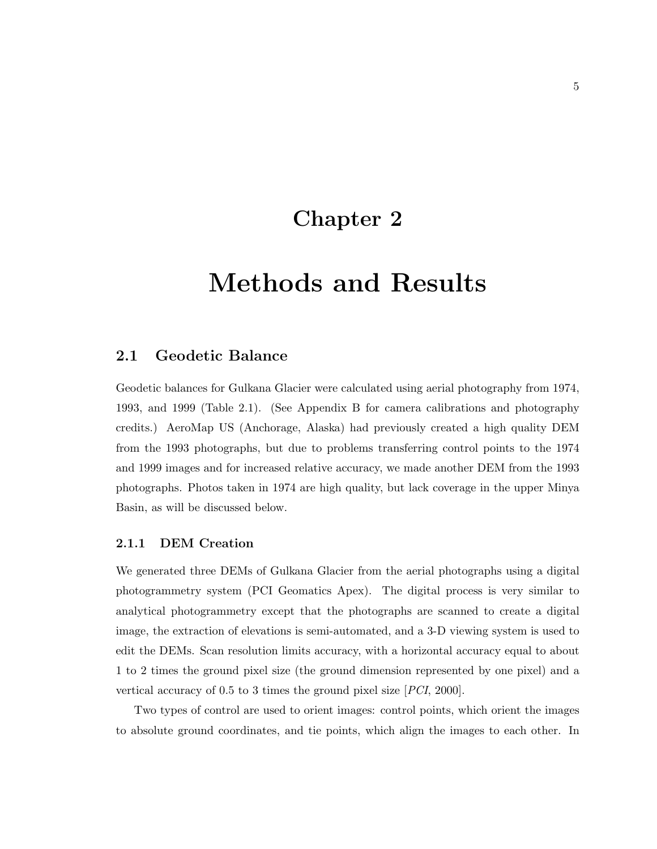### Chapter 2

### Methods and Results

#### 2.1 Geodetic Balance

Geodetic balances for Gulkana Glacier were calculated using aerial photography from 1974, 1993, and 1999 (Table 2.1). (See Appendix B for camera calibrations and photography credits.) AeroMap US (Anchorage, Alaska) had previously created a high quality DEM from the 1993 photographs, but due to problems transferring control points to the 1974 and 1999 images and for increased relative accuracy, we made another DEM from the 1993 photographs. Photos taken in 1974 are high quality, but lack coverage in the upper Minya Basin, as will be discussed below.

#### 2.1.1 DEM Creation

We generated three DEMs of Gulkana Glacier from the aerial photographs using a digital photogrammetry system (PCI Geomatics Apex). The digital process is very similar to analytical photogrammetry except that the photographs are scanned to create a digital image, the extraction of elevations is semi-automated, and a 3-D viewing system is used to edit the DEMs. Scan resolution limits accuracy, with a horizontal accuracy equal to about 1 to 2 times the ground pixel size (the ground dimension represented by one pixel) and a vertical accuracy of 0.5 to 3 times the ground pixel size [PCI, 2000].

Two types of control are used to orient images: control points, which orient the images to absolute ground coordinates, and tie points, which align the images to each other. In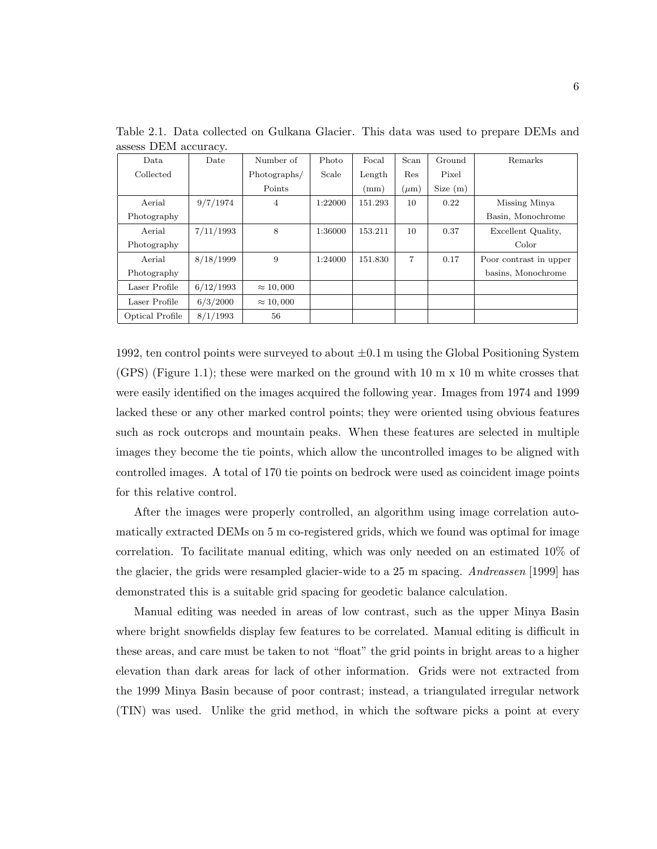| Data            | $\cdot$<br>Date | Number of        | Photo   | Focal   | Scan           | Ground  | Remarks                |
|-----------------|-----------------|------------------|---------|---------|----------------|---------|------------------------|
| Collected       |                 | Photographs/     | Scale   | Length  | Res            | Pixel   |                        |
|                 |                 | Points           |         | (mm)    | $(\mu m)$      | Size(m) |                        |
| Aerial          | 9/7/1974        | $\overline{4}$   | 1:22000 | 151.293 | 10             | 0.22    | Missing Minya          |
| Photography     |                 |                  |         |         |                |         | Basin, Monochrome      |
| Aerial          | 7/11/1993       | 8                | 1:36000 | 153.211 | 10             | 0.37    | Excellent Quality,     |
| Photography     |                 |                  |         |         |                |         | Color                  |
| Aerial          | 8/18/1999       | 9                | 1:24000 | 151.830 | $\overline{7}$ | 0.17    | Poor contrast in upper |
| Photography     |                 |                  |         |         |                |         | basins, Monochrome     |
| Laser Profile   | 6/12/1993       | $\approx 10,000$ |         |         |                |         |                        |
| Laser Profile   | 6/3/2000        | $\approx 10,000$ |         |         |                |         |                        |
| Optical Profile | 8/1/1993        | 56               |         |         |                |         |                        |

Table 2.1. Data collected on Gulkana Glacier. This data was used to prepare DEMs and assess DEM accuracy.

1992, ten control points were surveyed to about  $\pm 0.1$  m using the Global Positioning System (GPS) (Figure 1.1); these were marked on the ground with 10 m x 10 m white crosses that were easily identified on the images acquired the following year. Images from 1974 and 1999 lacked these or any other marked control points; they were oriented using obvious features such as rock outcrops and mountain peaks. When these features are selected in multiple images they become the tie points, which allow the uncontrolled images to be aligned with controlled images. A total of 170 tie points on bedrock were used as coincident image points for this relative control.

After the images were properly controlled, an algorithm using image correlation automatically extracted DEMs on 5 m co-registered grids, which we found was optimal for image correlation. To facilitate manual editing, which was only needed on an estimated 10% of the glacier, the grids were resampled glacier-wide to a 25 m spacing. Andreassen [1999] has demonstrated this is a suitable grid spacing for geodetic balance calculation.

Manual editing was needed in areas of low contrast, such as the upper Minya Basin where bright snowfields display few features to be correlated. Manual editing is difficult in these areas, and care must be taken to not "float" the grid points in bright areas to a higher elevation than dark areas for lack of other information. Grids were not extracted from the 1999 Minya Basin because of poor contrast; instead, a triangulated irregular network (TIN) was used. Unlike the grid method, in which the software picks a point at every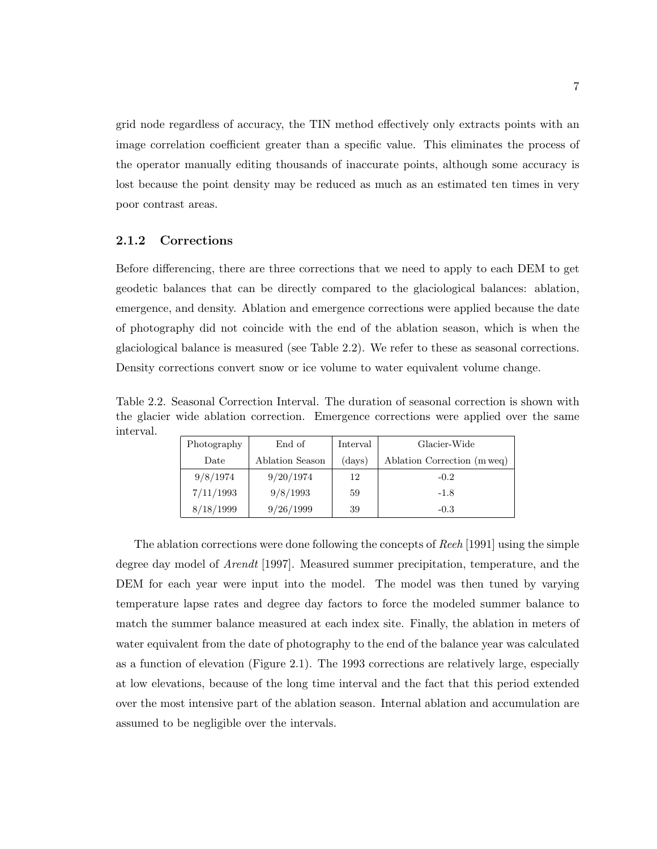grid node regardless of accuracy, the TIN method effectively only extracts points with an image correlation coefficient greater than a specific value. This eliminates the process of the operator manually editing thousands of inaccurate points, although some accuracy is lost because the point density may be reduced as much as an estimated ten times in very poor contrast areas.

#### 2.1.2 Corrections

Before differencing, there are three corrections that we need to apply to each DEM to get geodetic balances that can be directly compared to the glaciological balances: ablation, emergence, and density. Ablation and emergence corrections were applied because the date of photography did not coincide with the end of the ablation season, which is when the glaciological balance is measured (see Table 2.2). We refer to these as seasonal corrections. Density corrections convert snow or ice volume to water equivalent volume change.

Table 2.2. Seasonal Correction Interval. The duration of seasonal correction is shown with the glacier wide ablation correction. Emergence corrections were applied over the same interval.

| Photography | End of          | Interval | Glacier-Wide                |
|-------------|-----------------|----------|-----------------------------|
| Date        | Ablation Season | (days)   | Ablation Correction (m weq) |
| 9/8/1974    | 9/20/1974       | 12       | $-0.2$                      |
| 7/11/1993   | 9/8/1993        | 59       | $-1.8$                      |
| 8/18/1999   | 9/26/1999       | 39       | $-0.3$                      |

The ablation corrections were done following the concepts of Reeh [1991] using the simple degree day model of Arendt [1997]. Measured summer precipitation, temperature, and the DEM for each year were input into the model. The model was then tuned by varying temperature lapse rates and degree day factors to force the modeled summer balance to match the summer balance measured at each index site. Finally, the ablation in meters of water equivalent from the date of photography to the end of the balance year was calculated as a function of elevation (Figure 2.1). The 1993 corrections are relatively large, especially at low elevations, because of the long time interval and the fact that this period extended over the most intensive part of the ablation season. Internal ablation and accumulation are assumed to be negligible over the intervals.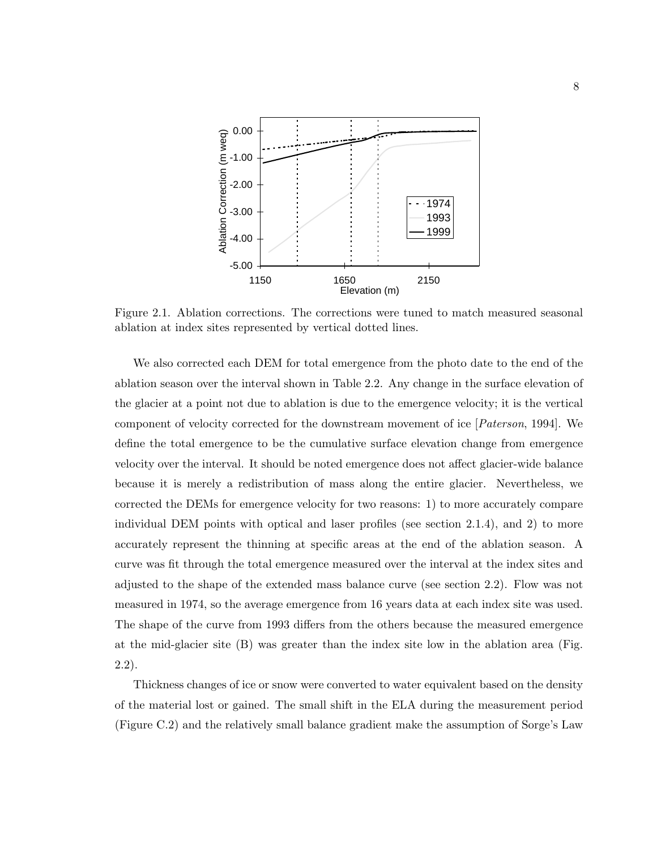

Figure 2.1. Ablation corrections. The corrections were tuned to match measured seasonal ablation at index sites represented by vertical dotted lines.

We also corrected each DEM for total emergence from the photo date to the end of the ablation season over the interval shown in Table 2.2. Any change in the surface elevation of the glacier at a point not due to ablation is due to the emergence velocity; it is the vertical component of velocity corrected for the downstream movement of ice [Paterson, 1994]. We define the total emergence to be the cumulative surface elevation change from emergence velocity over the interval. It should be noted emergence does not affect glacier-wide balance because it is merely a redistribution of mass along the entire glacier. Nevertheless, we corrected the DEMs for emergence velocity for two reasons: 1) to more accurately compare individual DEM points with optical and laser profiles (see section 2.1.4), and 2) to more accurately represent the thinning at specific areas at the end of the ablation season. A curve was fit through the total emergence measured over the interval at the index sites and adjusted to the shape of the extended mass balance curve (see section 2.2). Flow was not measured in 1974, so the average emergence from 16 years data at each index site was used. The shape of the curve from 1993 differs from the others because the measured emergence at the mid-glacier site (B) was greater than the index site low in the ablation area (Fig. 2.2).

Thickness changes of ice or snow were converted to water equivalent based on the density of the material lost or gained. The small shift in the ELA during the measurement period (Figure C.2) and the relatively small balance gradient make the assumption of Sorge's Law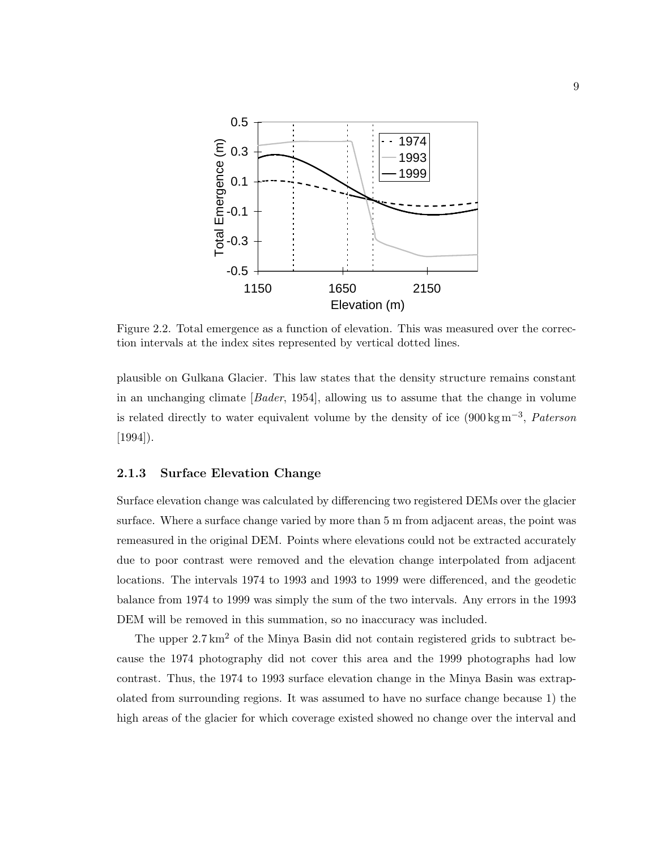

Figure 2.2. Total emergence as a function of elevation. This was measured over the correction intervals at the index sites represented by vertical dotted lines.

plausible on Gulkana Glacier. This law states that the density structure remains constant in an unchanging climate [Bader, 1954], allowing us to assume that the change in volume is related directly to water equivalent volume by the density of ice  $(900 \text{ kg m}^{-3},$  Paterson [1994]).

#### 2.1.3 Surface Elevation Change

Surface elevation change was calculated by differencing two registered DEMs over the glacier surface. Where a surface change varied by more than 5 m from adjacent areas, the point was remeasured in the original DEM. Points where elevations could not be extracted accurately due to poor contrast were removed and the elevation change interpolated from adjacent locations. The intervals 1974 to 1993 and 1993 to 1999 were differenced, and the geodetic balance from 1974 to 1999 was simply the sum of the two intervals. Any errors in the 1993 DEM will be removed in this summation, so no inaccuracy was included.

The upper  $2.7 \text{ km}^2$  of the Minya Basin did not contain registered grids to subtract because the 1974 photography did not cover this area and the 1999 photographs had low contrast. Thus, the 1974 to 1993 surface elevation change in the Minya Basin was extrapolated from surrounding regions. It was assumed to have no surface change because 1) the high areas of the glacier for which coverage existed showed no change over the interval and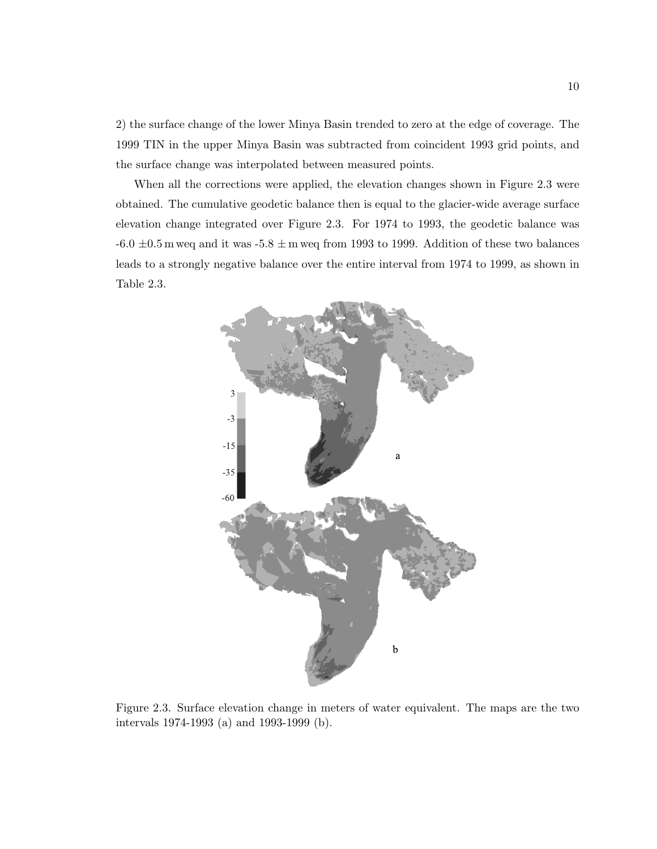2) the surface change of the lower Minya Basin trended to zero at the edge of coverage. The 1999 TIN in the upper Minya Basin was subtracted from coincident 1993 grid points, and the surface change was interpolated between measured points.

When all the corrections were applied, the elevation changes shown in Figure 2.3 were obtained. The cumulative geodetic balance then is equal to the glacier-wide average surface elevation change integrated over Figure 2.3. For 1974 to 1993, the geodetic balance was  $-6.0 \pm 0.5$  m weq and it was  $-5.8 \pm$  m weq from 1993 to 1999. Addition of these two balances leads to a strongly negative balance over the entire interval from 1974 to 1999, as shown in Table 2.3.



Figure 2.3. Surface elevation change in meters of water equivalent. The maps are the two intervals 1974-1993 (a) and 1993-1999 (b).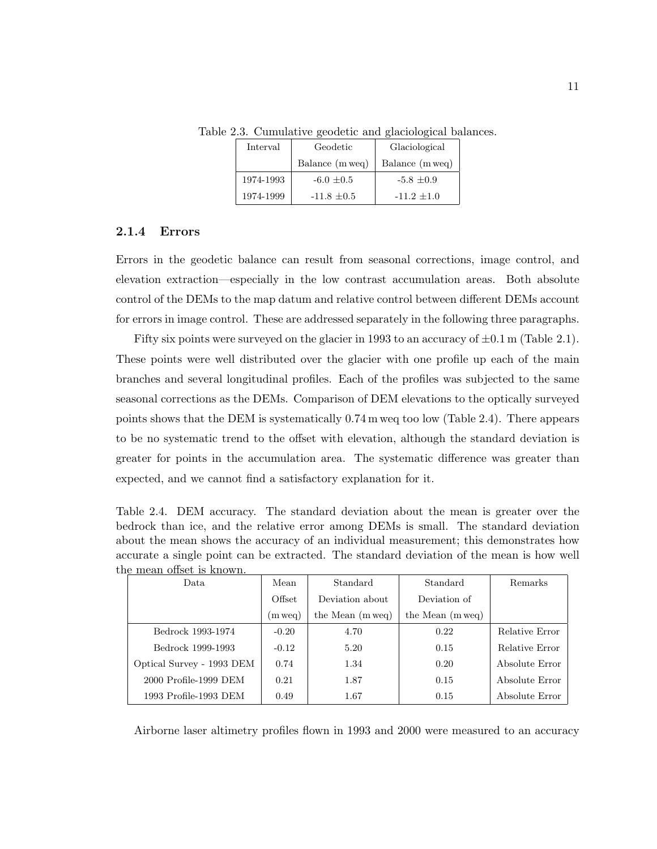| Interval  | Geodetic        | Glaciological   |
|-----------|-----------------|-----------------|
|           | Balance (m weg) | Balance (m weq) |
| 1974-1993 | $-6.0 + 0.5$    | $-5.8 + 0.9$    |
| 1974-1999 | $-11.8 \pm 0.5$ | $-11.2 + 1.0$   |

Table 2.3. Cumulative geodetic and glaciological balances.

#### 2.1.4 Errors

Errors in the geodetic balance can result from seasonal corrections, image control, and elevation extraction—especially in the low contrast accumulation areas. Both absolute control of the DEMs to the map datum and relative control between different DEMs account for errors in image control. These are addressed separately in the following three paragraphs.

Fifty six points were surveyed on the glacier in 1993 to an accuracy of  $\pm 0.1$  m (Table 2.1). These points were well distributed over the glacier with one profile up each of the main branches and several longitudinal profiles. Each of the profiles was subjected to the same seasonal corrections as the DEMs. Comparison of DEM elevations to the optically surveyed points shows that the DEM is systematically 0.74 m weq too low (Table 2.4). There appears to be no systematic trend to the offset with elevation, although the standard deviation is greater for points in the accumulation area. The systematic difference was greater than expected, and we cannot find a satisfactory explanation for it.

Table 2.4. DEM accuracy. The standard deviation about the mean is greater over the bedrock than ice, and the relative error among DEMs is small. The standard deviation about the mean shows the accuracy of an individual measurement; this demonstrates how accurate a single point can be extracted. The standard deviation of the mean is how well the mean offset is known.

| 10 1110011 0111000 10 11110W11.<br>Data | Mean    | Standard         | Standard         | Remarks        |
|-----------------------------------------|---------|------------------|------------------|----------------|
|                                         | Offset  | Deviation about  | Deviation of     |                |
|                                         | m weq)  | the Mean (m weq) | the Mean (m weq) |                |
| Bedrock 1993-1974                       | $-0.20$ | 4.70             | 0.22             | Relative Error |
| Bedrock 1999-1993                       | $-0.12$ | 5.20             | 0.15             | Relative Error |
| Optical Survey - 1993 DEM               | 0.74    | 1.34             | 0.20             | Absolute Error |
| 2000 Profile-1999 DEM                   | 0.21    | 1.87             | 0.15             | Absolute Error |
| 1993 Profile-1993 DEM                   | 0.49    | 1.67             | 0.15             | Absolute Error |

Airborne laser altimetry profiles flown in 1993 and 2000 were measured to an accuracy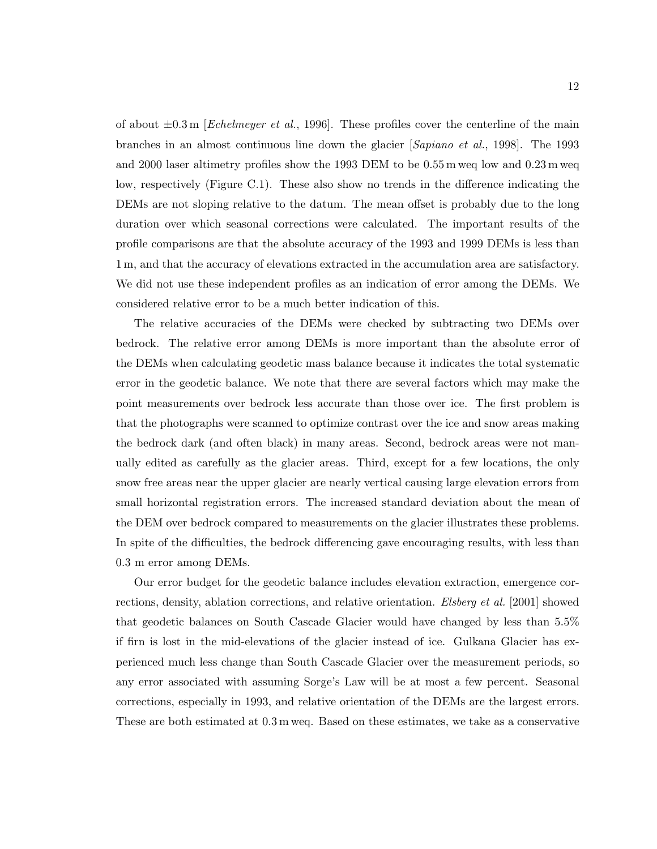of about  $\pm 0.3$  m [Echelmeyer et al., 1996]. These profiles cover the centerline of the main branches in an almost continuous line down the glacier [Sapiano et al., 1998]. The 1993 and 2000 laser altimetry profiles show the 1993 DEM to be 0.55 m weq low and 0.23 m weq low, respectively (Figure C.1). These also show no trends in the difference indicating the DEMs are not sloping relative to the datum. The mean offset is probably due to the long duration over which seasonal corrections were calculated. The important results of the profile comparisons are that the absolute accuracy of the 1993 and 1999 DEMs is less than 1 m, and that the accuracy of elevations extracted in the accumulation area are satisfactory. We did not use these independent profiles as an indication of error among the DEMs. We considered relative error to be a much better indication of this.

The relative accuracies of the DEMs were checked by subtracting two DEMs over bedrock. The relative error among DEMs is more important than the absolute error of the DEMs when calculating geodetic mass balance because it indicates the total systematic error in the geodetic balance. We note that there are several factors which may make the point measurements over bedrock less accurate than those over ice. The first problem is that the photographs were scanned to optimize contrast over the ice and snow areas making the bedrock dark (and often black) in many areas. Second, bedrock areas were not manually edited as carefully as the glacier areas. Third, except for a few locations, the only snow free areas near the upper glacier are nearly vertical causing large elevation errors from small horizontal registration errors. The increased standard deviation about the mean of the DEM over bedrock compared to measurements on the glacier illustrates these problems. In spite of the difficulties, the bedrock differencing gave encouraging results, with less than 0.3 m error among DEMs.

Our error budget for the geodetic balance includes elevation extraction, emergence corrections, density, ablation corrections, and relative orientation. Elsberg et al. [2001] showed that geodetic balances on South Cascade Glacier would have changed by less than 5.5% if firn is lost in the mid-elevations of the glacier instead of ice. Gulkana Glacier has experienced much less change than South Cascade Glacier over the measurement periods, so any error associated with assuming Sorge's Law will be at most a few percent. Seasonal corrections, especially in 1993, and relative orientation of the DEMs are the largest errors. These are both estimated at 0.3 m weq. Based on these estimates, we take as a conservative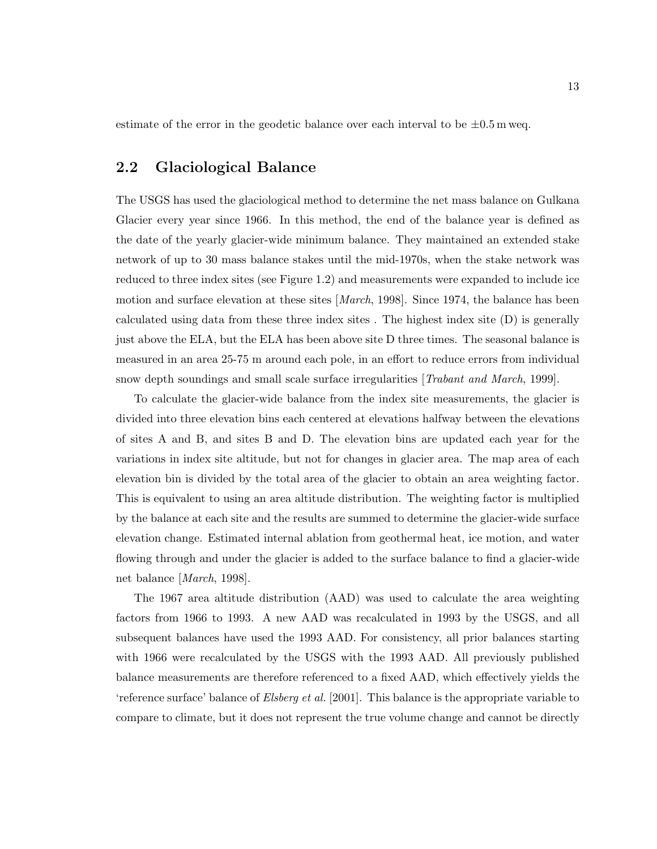estimate of the error in the geodetic balance over each interval to be  $\pm 0.5$  m weq.

### 2.2 Glaciological Balance

The USGS has used the glaciological method to determine the net mass balance on Gulkana Glacier every year since 1966. In this method, the end of the balance year is defined as the date of the yearly glacier-wide minimum balance. They maintained an extended stake network of up to 30 mass balance stakes until the mid-1970s, when the stake network was reduced to three index sites (see Figure 1.2) and measurements were expanded to include ice motion and surface elevation at these sites [*March*, 1998]. Since 1974, the balance has been calculated using data from these three index sites . The highest index site (D) is generally just above the ELA, but the ELA has been above site D three times. The seasonal balance is measured in an area 25-75 m around each pole, in an effort to reduce errors from individual snow depth soundings and small scale surface irregularities [Trabant and March, 1999].

To calculate the glacier-wide balance from the index site measurements, the glacier is divided into three elevation bins each centered at elevations halfway between the elevations of sites A and B, and sites B and D. The elevation bins are updated each year for the variations in index site altitude, but not for changes in glacier area. The map area of each elevation bin is divided by the total area of the glacier to obtain an area weighting factor. This is equivalent to using an area altitude distribution. The weighting factor is multiplied by the balance at each site and the results are summed to determine the glacier-wide surface elevation change. Estimated internal ablation from geothermal heat, ice motion, and water flowing through and under the glacier is added to the surface balance to find a glacier-wide net balance [March, 1998].

The 1967 area altitude distribution (AAD) was used to calculate the area weighting factors from 1966 to 1993. A new AAD was recalculated in 1993 by the USGS, and all subsequent balances have used the 1993 AAD. For consistency, all prior balances starting with 1966 were recalculated by the USGS with the 1993 AAD. All previously published balance measurements are therefore referenced to a fixed AAD, which effectively yields the 'reference surface' balance of Elsberg et al. [2001]. This balance is the appropriate variable to compare to climate, but it does not represent the true volume change and cannot be directly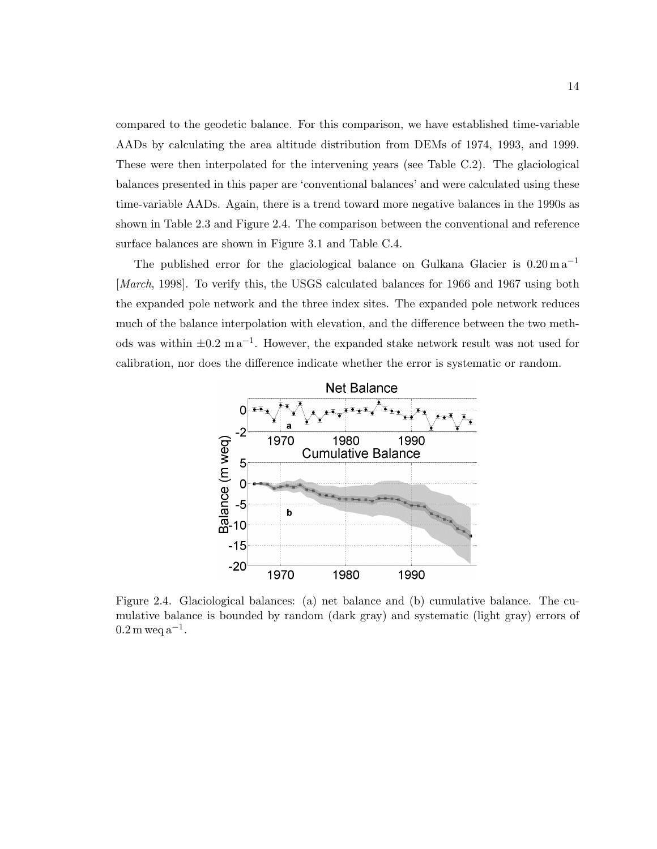compared to the geodetic balance. For this comparison, we have established time-variable AADs by calculating the area altitude distribution from DEMs of 1974, 1993, and 1999. These were then interpolated for the intervening years (see Table C.2). The glaciological balances presented in this paper are 'conventional balances' and were calculated using these time-variable AADs. Again, there is a trend toward more negative balances in the 1990s as shown in Table 2.3 and Figure 2.4. The comparison between the conventional and reference surface balances are shown in Figure 3.1 and Table C.4.

The published error for the glaciological balance on Gulkana Glacier is  $0.20 \text{ m a}^{-1}$ [March, 1998]. To verify this, the USGS calculated balances for 1966 and 1967 using both the expanded pole network and the three index sites. The expanded pole network reduces much of the balance interpolation with elevation, and the difference between the two methods was within  $\pm 0.2$  m a<sup>-1</sup>. However, the expanded stake network result was not used for calibration, nor does the difference indicate whether the error is systematic or random.



Figure 2.4. Glaciological balances: (a) net balance and (b) cumulative balance. The cumulative balance is bounded by random (dark gray) and systematic (light gray) errors of  $0.2 \,\mathrm{m}$  weq  $a^{-1}$ .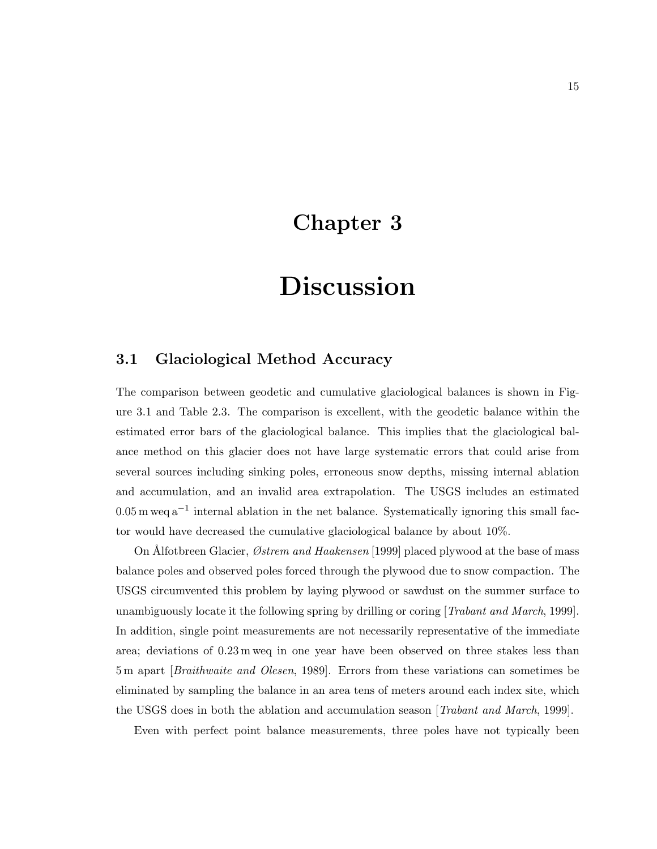### Chapter 3

### Discussion

### 3.1 Glaciological Method Accuracy

The comparison between geodetic and cumulative glaciological balances is shown in Figure 3.1 and Table 2.3. The comparison is excellent, with the geodetic balance within the estimated error bars of the glaciological balance. This implies that the glaciological balance method on this glacier does not have large systematic errors that could arise from several sources including sinking poles, erroneous snow depths, missing internal ablation and accumulation, and an invalid area extrapolation. The USGS includes an estimated  $0.05 \,\mathrm{m}$  weq  $a^{-1}$  internal ablation in the net balance. Systematically ignoring this small factor would have decreased the cumulative glaciological balance by about 10%.

On Alfotbreen Glacier, *Østrem and Haakensen* [1999] placed plywood at the base of mass balance poles and observed poles forced through the plywood due to snow compaction. The USGS circumvented this problem by laying plywood or sawdust on the summer surface to unambiguously locate it the following spring by drilling or coring [Trabant and March, 1999]. In addition, single point measurements are not necessarily representative of the immediate area; deviations of 0.23 m weq in one year have been observed on three stakes less than 5 m apart [Braithwaite and Olesen, 1989]. Errors from these variations can sometimes be eliminated by sampling the balance in an area tens of meters around each index site, which the USGS does in both the ablation and accumulation season [*Trabant and March*, 1999].

Even with perfect point balance measurements, three poles have not typically been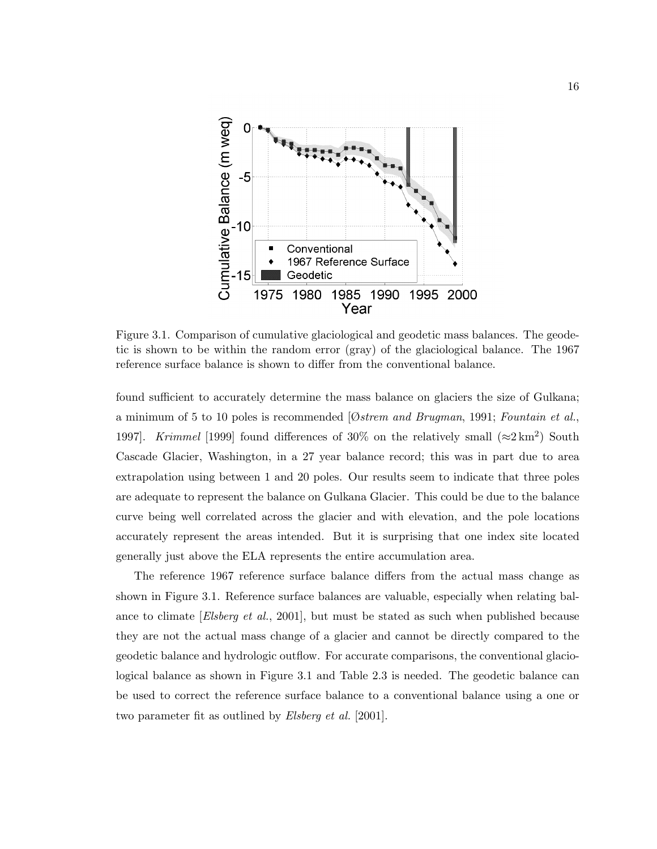

Figure 3.1. Comparison of cumulative glaciological and geodetic mass balances. The geodetic is shown to be within the random error (gray) of the glaciological balance. The 1967 reference surface balance is shown to differ from the conventional balance.

found sufficient to accurately determine the mass balance on glaciers the size of Gulkana; a minimum of 5 to 10 poles is recommended  $[Øs$ trem and Brugman, 1991; Fountain et al., 1997. Krimmel [1999] found differences of 30% on the relatively small  $(\approx 2 \text{ km}^2)$  South Cascade Glacier, Washington, in a 27 year balance record; this was in part due to area extrapolation using between 1 and 20 poles. Our results seem to indicate that three poles are adequate to represent the balance on Gulkana Glacier. This could be due to the balance curve being well correlated across the glacier and with elevation, and the pole locations accurately represent the areas intended. But it is surprising that one index site located generally just above the ELA represents the entire accumulation area.

The reference 1967 reference surface balance differs from the actual mass change as shown in Figure 3.1. Reference surface balances are valuable, especially when relating balance to climate *[Elsberg et al.*, 2001], but must be stated as such when published because they are not the actual mass change of a glacier and cannot be directly compared to the geodetic balance and hydrologic outflow. For accurate comparisons, the conventional glaciological balance as shown in Figure 3.1 and Table 2.3 is needed. The geodetic balance can be used to correct the reference surface balance to a conventional balance using a one or two parameter fit as outlined by *Elsberg et al.* [2001].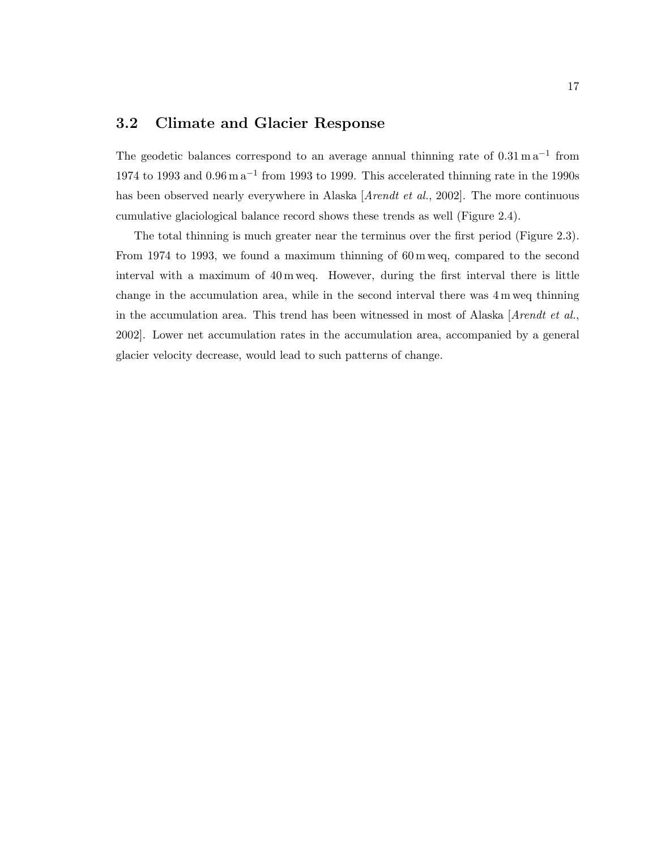### 3.2 Climate and Glacier Response

The geodetic balances correspond to an average annual thinning rate of  $0.31 \text{ m a}^{-1}$  from 1974 to 1993 and  $0.96 \text{ m a}^{-1}$  from 1993 to 1999. This accelerated thinning rate in the 1990s has been observed nearly everywhere in Alaska [Arendt et al., 2002]. The more continuous cumulative glaciological balance record shows these trends as well (Figure 2.4).

The total thinning is much greater near the terminus over the first period (Figure 2.3). From 1974 to 1993, we found a maximum thinning of 60 m weq, compared to the second interval with a maximum of 40 m weq. However, during the first interval there is little change in the accumulation area, while in the second interval there was 4 m weq thinning in the accumulation area. This trend has been witnessed in most of Alaska [ $Arendt et al.,$ ] 2002]. Lower net accumulation rates in the accumulation area, accompanied by a general glacier velocity decrease, would lead to such patterns of change.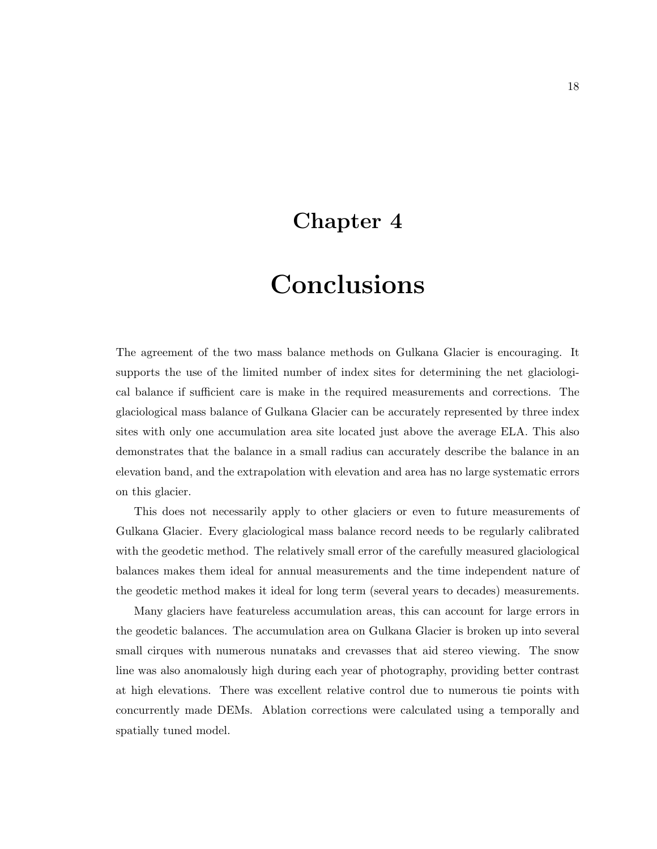### Chapter 4

## Conclusions

The agreement of the two mass balance methods on Gulkana Glacier is encouraging. It supports the use of the limited number of index sites for determining the net glaciological balance if sufficient care is make in the required measurements and corrections. The glaciological mass balance of Gulkana Glacier can be accurately represented by three index sites with only one accumulation area site located just above the average ELA. This also demonstrates that the balance in a small radius can accurately describe the balance in an elevation band, and the extrapolation with elevation and area has no large systematic errors on this glacier.

This does not necessarily apply to other glaciers or even to future measurements of Gulkana Glacier. Every glaciological mass balance record needs to be regularly calibrated with the geodetic method. The relatively small error of the carefully measured glaciological balances makes them ideal for annual measurements and the time independent nature of the geodetic method makes it ideal for long term (several years to decades) measurements.

Many glaciers have featureless accumulation areas, this can account for large errors in the geodetic balances. The accumulation area on Gulkana Glacier is broken up into several small cirques with numerous nunataks and crevasses that aid stereo viewing. The snow line was also anomalously high during each year of photography, providing better contrast at high elevations. There was excellent relative control due to numerous tie points with concurrently made DEMs. Ablation corrections were calculated using a temporally and spatially tuned model.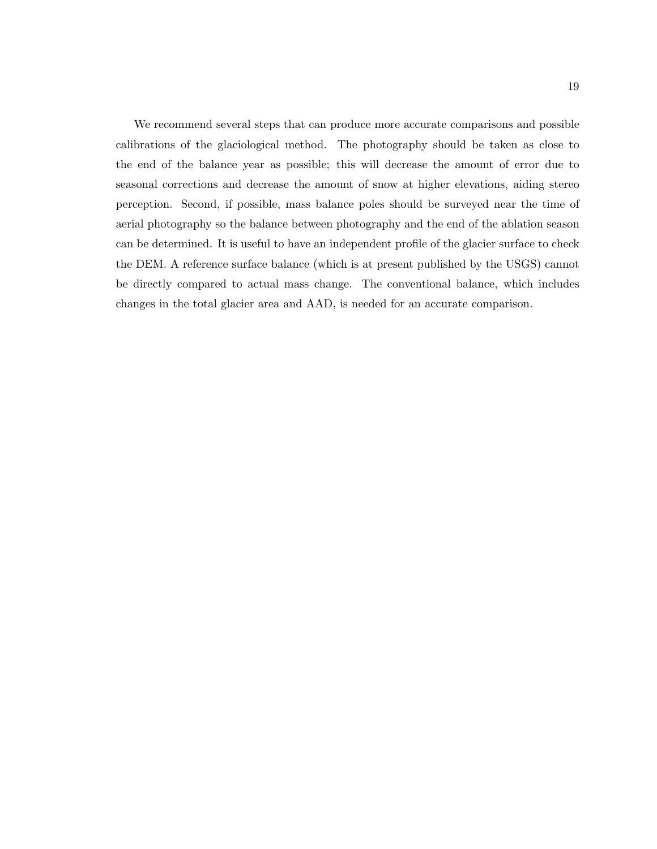We recommend several steps that can produce more accurate comparisons and possible calibrations of the glaciological method. The photography should be taken as close to the end of the balance year as possible; this will decrease the amount of error due to seasonal corrections and decrease the amount of snow at higher elevations, aiding stereo perception. Second, if possible, mass balance poles should be surveyed near the time of aerial photography so the balance between photography and the end of the ablation season can be determined. It is useful to have an independent profile of the glacier surface to check the DEM. A reference surface balance (which is at present published by the USGS) cannot be directly compared to actual mass change. The conventional balance, which includes changes in the total glacier area and AAD, is needed for an accurate comparison.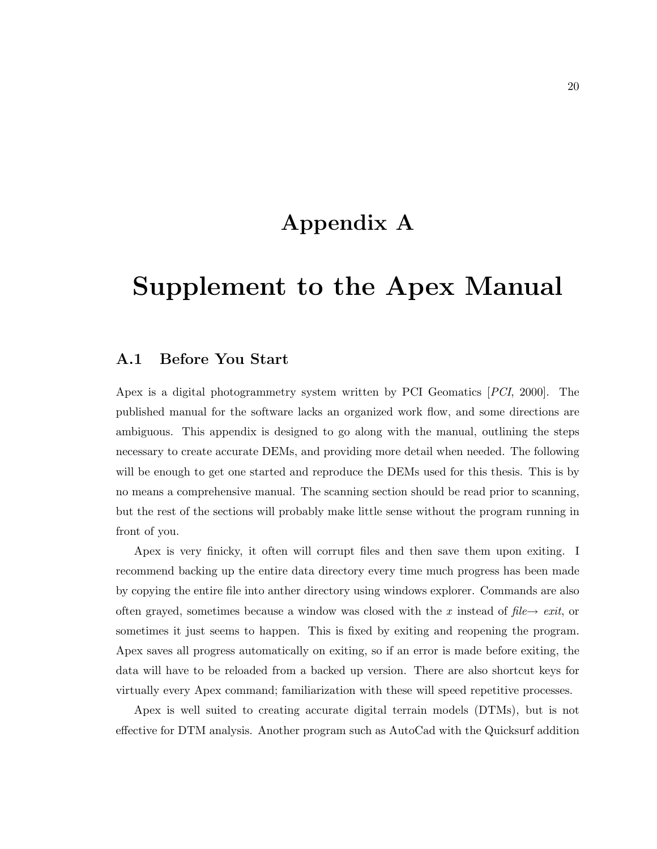### Appendix A

### Supplement to the Apex Manual

#### A.1 Before You Start

Apex is a digital photogrammetry system written by PCI Geomatics [PCI, 2000]. The published manual for the software lacks an organized work flow, and some directions are ambiguous. This appendix is designed to go along with the manual, outlining the steps necessary to create accurate DEMs, and providing more detail when needed. The following will be enough to get one started and reproduce the DEMs used for this thesis. This is by no means a comprehensive manual. The scanning section should be read prior to scanning, but the rest of the sections will probably make little sense without the program running in front of you.

Apex is very finicky, it often will corrupt files and then save them upon exiting. I recommend backing up the entire data directory every time much progress has been made by copying the entire file into anther directory using windows explorer. Commands are also often grayed, sometimes because a window was closed with the x instead of  $file \rightarrow exit$ , or sometimes it just seems to happen. This is fixed by exiting and reopening the program. Apex saves all progress automatically on exiting, so if an error is made before exiting, the data will have to be reloaded from a backed up version. There are also shortcut keys for virtually every Apex command; familiarization with these will speed repetitive processes.

Apex is well suited to creating accurate digital terrain models (DTMs), but is not effective for DTM analysis. Another program such as AutoCad with the Quicksurf addition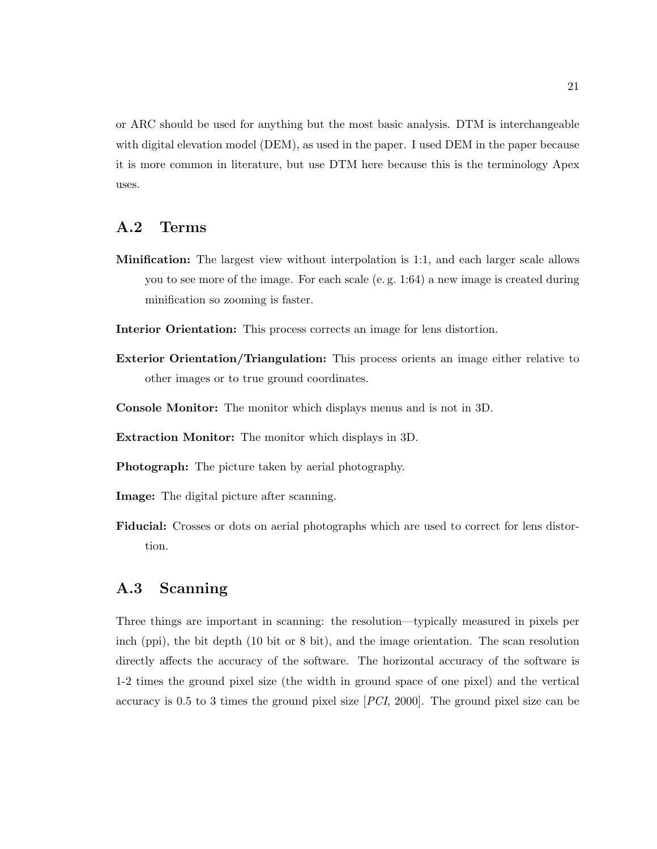or ARC should be used for anything but the most basic analysis. DTM is interchangeable with digital elevation model (DEM), as used in the paper. I used DEM in the paper because it is more common in literature, but use DTM here because this is the terminology Apex uses.

#### A.2 Terms

- Minification: The largest view without interpolation is 1:1, and each larger scale allows you to see more of the image. For each scale (e. g. 1:64) a new image is created during minification so zooming is faster.
- Interior Orientation: This process corrects an image for lens distortion.
- Exterior Orientation/Triangulation: This process orients an image either relative to other images or to true ground coordinates.
- Console Monitor: The monitor which displays menus and is not in 3D.
- Extraction Monitor: The monitor which displays in 3D.
- Photograph: The picture taken by aerial photography.
- Image: The digital picture after scanning.
- Fiducial: Crosses or dots on aerial photographs which are used to correct for lens distortion.

### A.3 Scanning

Three things are important in scanning: the resolution—typically measured in pixels per inch (ppi), the bit depth (10 bit or 8 bit), and the image orientation. The scan resolution directly affects the accuracy of the software. The horizontal accuracy of the software is 1-2 times the ground pixel size (the width in ground space of one pixel) and the vertical accuracy is 0.5 to 3 times the ground pixel size [PCI, 2000]. The ground pixel size can be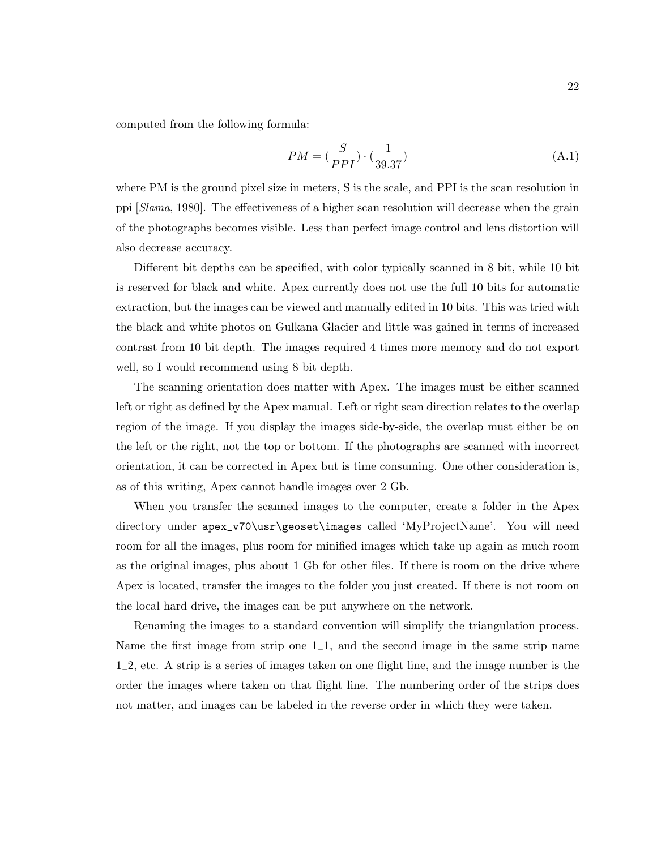computed from the following formula:

$$
PM = (\frac{S}{PPI}) \cdot (\frac{1}{39.37})
$$
\n(A.1)

where PM is the ground pixel size in meters, S is the scale, and PPI is the scan resolution in ppi [Slama, 1980]. The effectiveness of a higher scan resolution will decrease when the grain of the photographs becomes visible. Less than perfect image control and lens distortion will also decrease accuracy.

Different bit depths can be specified, with color typically scanned in 8 bit, while 10 bit is reserved for black and white. Apex currently does not use the full 10 bits for automatic extraction, but the images can be viewed and manually edited in 10 bits. This was tried with the black and white photos on Gulkana Glacier and little was gained in terms of increased contrast from 10 bit depth. The images required 4 times more memory and do not export well, so I would recommend using 8 bit depth.

The scanning orientation does matter with Apex. The images must be either scanned left or right as defined by the Apex manual. Left or right scan direction relates to the overlap region of the image. If you display the images side-by-side, the overlap must either be on the left or the right, not the top or bottom. If the photographs are scanned with incorrect orientation, it can be corrected in Apex but is time consuming. One other consideration is, as of this writing, Apex cannot handle images over 2 Gb.

When you transfer the scanned images to the computer, create a folder in the Apex directory under apex\_v70\usr\geoset\images called 'MyProjectName'. You will need room for all the images, plus room for minified images which take up again as much room as the original images, plus about 1 Gb for other files. If there is room on the drive where Apex is located, transfer the images to the folder you just created. If there is not room on the local hard drive, the images can be put anywhere on the network.

Renaming the images to a standard convention will simplify the triangulation process. Name the first image from strip one 1\_1, and the second image in the same strip name 1\_2, etc. A strip is a series of images taken on one flight line, and the image number is the order the images where taken on that flight line. The numbering order of the strips does not matter, and images can be labeled in the reverse order in which they were taken.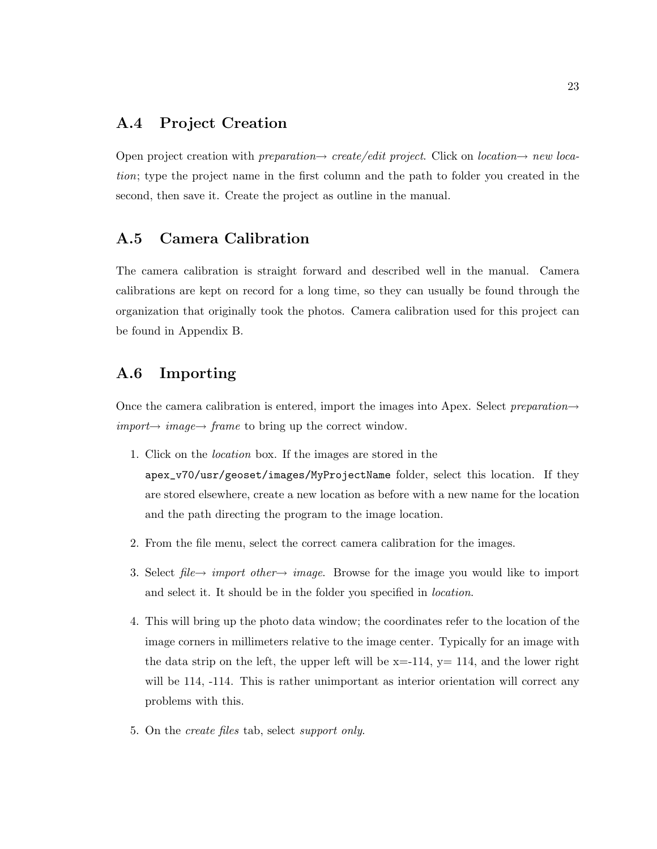### A.4 Project Creation

Open project creation with *preparation* $\rightarrow$  create/edit project. Click on location $\rightarrow$  new location; type the project name in the first column and the path to folder you created in the second, then save it. Create the project as outline in the manual.

### A.5 Camera Calibration

The camera calibration is straight forward and described well in the manual. Camera calibrations are kept on record for a long time, so they can usually be found through the organization that originally took the photos. Camera calibration used for this project can be found in Appendix B.

### A.6 Importing

Once the camera calibration is entered, import the images into Apex. Select preparation $\rightarrow$  $import \rightarrow image \rightarrow frame$  to bring up the correct window.

1. Click on the location box. If the images are stored in the

apex\_v70/usr/geoset/images/MyProjectName folder, select this location. If they are stored elsewhere, create a new location as before with a new name for the location and the path directing the program to the image location.

- 2. From the file menu, select the correct camera calibration for the images.
- 3. Select file  $\rightarrow$  import other  $\rightarrow$  image. Browse for the image you would like to import and select it. It should be in the folder you specified in location.
- 4. This will bring up the photo data window; the coordinates refer to the location of the image corners in millimeters relative to the image center. Typically for an image with the data strip on the left, the upper left will be  $x=-114$ ,  $y=114$ , and the lower right will be 114,  $-114$ . This is rather unimportant as interior orientation will correct any problems with this.
- 5. On the create files tab, select support only.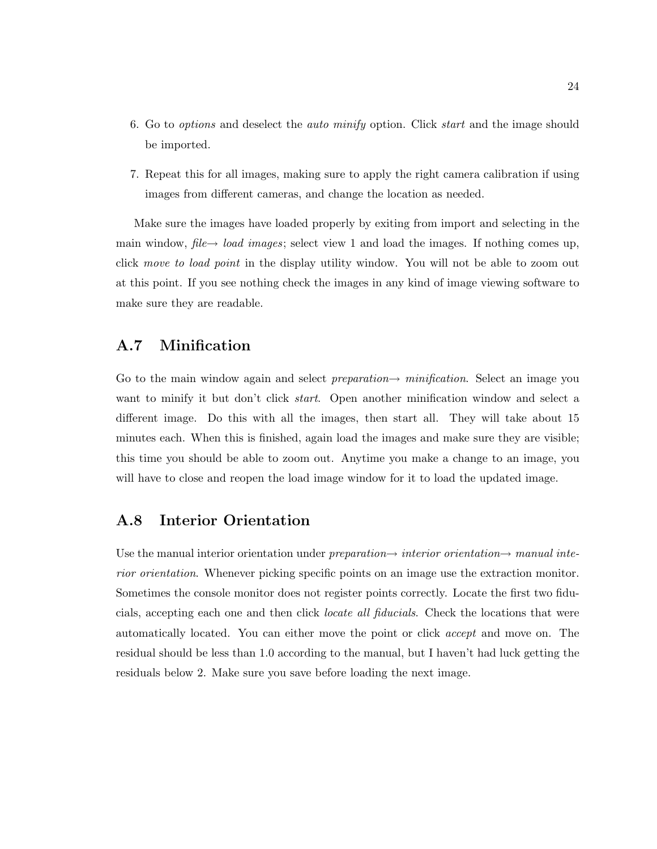- 6. Go to options and deselect the auto minify option. Click start and the image should be imported.
- 7. Repeat this for all images, making sure to apply the right camera calibration if using images from different cameras, and change the location as needed.

Make sure the images have loaded properly by exiting from import and selecting in the main window,  $file \rightarrow load \, images$ ; select view 1 and load the images. If nothing comes up, click move to load point in the display utility window. You will not be able to zoom out at this point. If you see nothing check the images in any kind of image viewing software to make sure they are readable.

#### A.7 Minification

Go to the main window again and select *preparation* $\rightarrow$  minification. Select an image you want to minify it but don't click *start*. Open another minification window and select a different image. Do this with all the images, then start all. They will take about 15 minutes each. When this is finished, again load the images and make sure they are visible; this time you should be able to zoom out. Anytime you make a change to an image, you will have to close and reopen the load image window for it to load the updated image.

### A.8 Interior Orientation

Use the manual interior orientation under preparation $\rightarrow$  interior orientation $\rightarrow$  manual interior orientation. Whenever picking specific points on an image use the extraction monitor. Sometimes the console monitor does not register points correctly. Locate the first two fiducials, accepting each one and then click locate all fiducials. Check the locations that were automatically located. You can either move the point or click accept and move on. The residual should be less than 1.0 according to the manual, but I haven't had luck getting the residuals below 2. Make sure you save before loading the next image.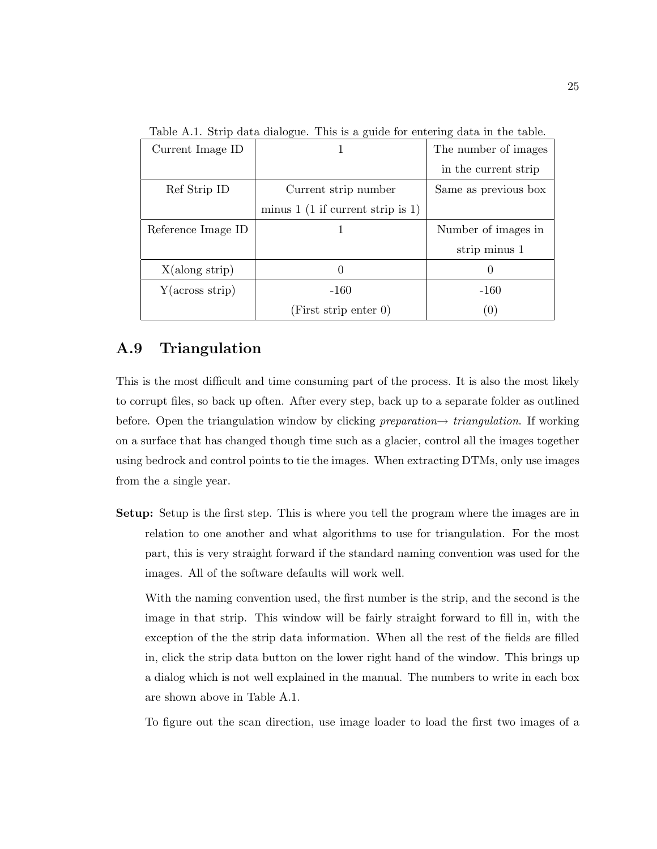| Current Image ID   |                                     | The number of images |  |
|--------------------|-------------------------------------|----------------------|--|
|                    |                                     | in the current strip |  |
| Ref Strip ID       | Current strip number                | Same as previous box |  |
|                    | minus $1$ (1 if current strip is 1) |                      |  |
| Reference Image ID |                                     | Number of images in  |  |
|                    |                                     | strip minus 1        |  |
| X(along strip)     |                                     |                      |  |
| Y(across strip)    | $-160$                              | $-160$               |  |
|                    | (First strip enter 0)               | $\left( 0 \right)$   |  |

Table A.1. Strip data dialogue. This is a guide for entering data in the table.

### A.9 Triangulation

This is the most difficult and time consuming part of the process. It is also the most likely to corrupt files, so back up often. After every step, back up to a separate folder as outlined before. Open the triangulation window by clicking *preparation* $\rightarrow$  triangulation. If working on a surface that has changed though time such as a glacier, control all the images together using bedrock and control points to tie the images. When extracting DTMs, only use images from the a single year.

Setup: Setup is the first step. This is where you tell the program where the images are in relation to one another and what algorithms to use for triangulation. For the most part, this is very straight forward if the standard naming convention was used for the images. All of the software defaults will work well.

With the naming convention used, the first number is the strip, and the second is the image in that strip. This window will be fairly straight forward to fill in, with the exception of the the strip data information. When all the rest of the fields are filled in, click the strip data button on the lower right hand of the window. This brings up a dialog which is not well explained in the manual. The numbers to write in each box are shown above in Table A.1.

To figure out the scan direction, use image loader to load the first two images of a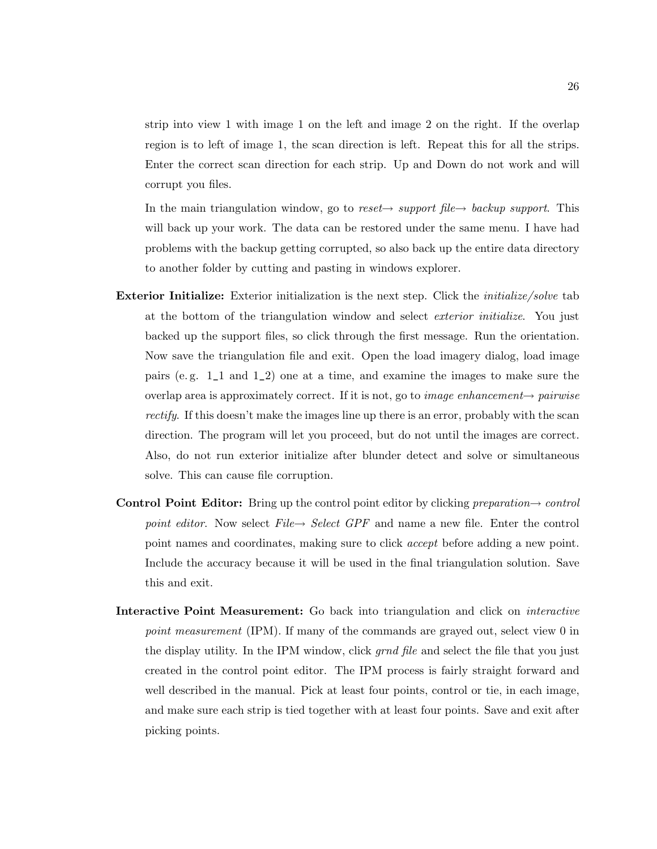strip into view 1 with image 1 on the left and image 2 on the right. If the overlap region is to left of image 1, the scan direction is left. Repeat this for all the strips. Enter the correct scan direction for each strip. Up and Down do not work and will corrupt you files.

In the main triangulation window, go to reset $\rightarrow$  support file $\rightarrow$  backup support. This will back up your work. The data can be restored under the same menu. I have had problems with the backup getting corrupted, so also back up the entire data directory to another folder by cutting and pasting in windows explorer.

- **Exterior Initialize:** Exterior initialization is the next step. Click the *initialize/solve* tab at the bottom of the triangulation window and select exterior initialize. You just backed up the support files, so click through the first message. Run the orientation. Now save the triangulation file and exit. Open the load imagery dialog, load image pairs (e. g. 1\_1 and 1\_2) one at a time, and examine the images to make sure the overlap area is approximately correct. If it is not, go to *image enhancement* $\rightarrow$  *pairwise* rectify. If this doesn't make the images line up there is an error, probably with the scan direction. The program will let you proceed, but do not until the images are correct. Also, do not run exterior initialize after blunder detect and solve or simultaneous solve. This can cause file corruption.
- **Control Point Editor:** Bring up the control point editor by clicking preparation $\rightarrow$  control point editor. Now select File  $\rightarrow$  Select GPF and name a new file. Enter the control point names and coordinates, making sure to click accept before adding a new point. Include the accuracy because it will be used in the final triangulation solution. Save this and exit.
- Interactive Point Measurement: Go back into triangulation and click on *interactive* point measurement (IPM). If many of the commands are grayed out, select view 0 in the display utility. In the IPM window, click *grnd file* and select the file that you just created in the control point editor. The IPM process is fairly straight forward and well described in the manual. Pick at least four points, control or tie, in each image, and make sure each strip is tied together with at least four points. Save and exit after picking points.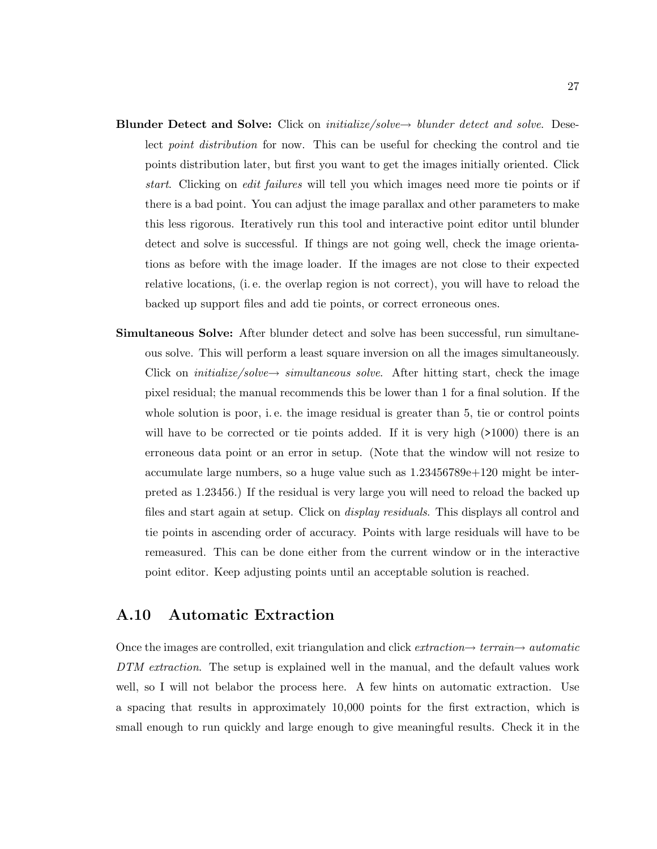- Blunder Detect and Solve: Click on *initialize/solve* $\rightarrow$  *blunder detect and solve.* Deselect point distribution for now. This can be useful for checking the control and tie points distribution later, but first you want to get the images initially oriented. Click start. Clicking on edit failures will tell you which images need more tie points or if there is a bad point. You can adjust the image parallax and other parameters to make this less rigorous. Iteratively run this tool and interactive point editor until blunder detect and solve is successful. If things are not going well, check the image orientations as before with the image loader. If the images are not close to their expected relative locations, (i. e. the overlap region is not correct), you will have to reload the backed up support files and add tie points, or correct erroneous ones.
- Simultaneous Solve: After blunder detect and solve has been successful, run simultaneous solve. This will perform a least square inversion on all the images simultaneously. Click on *initialize/solve*  $\rightarrow$  *simultaneous solve.* After hitting start, check the image pixel residual; the manual recommends this be lower than 1 for a final solution. If the whole solution is poor, i.e. the image residual is greater than 5, tie or control points will have to be corrected or tie points added. If it is very high ( $>1000$ ) there is an erroneous data point or an error in setup. (Note that the window will not resize to accumulate large numbers, so a huge value such as 1.23456789e+120 might be interpreted as 1.23456.) If the residual is very large you will need to reload the backed up files and start again at setup. Click on display residuals. This displays all control and tie points in ascending order of accuracy. Points with large residuals will have to be remeasured. This can be done either from the current window or in the interactive point editor. Keep adjusting points until an acceptable solution is reached.

### A.10 Automatic Extraction

Once the images are controlled, exit triangulation and click  $extraction \rightarrow{} terrain \rightarrow{} automatic$ DTM extraction. The setup is explained well in the manual, and the default values work well, so I will not belabor the process here. A few hints on automatic extraction. Use a spacing that results in approximately 10,000 points for the first extraction, which is small enough to run quickly and large enough to give meaningful results. Check it in the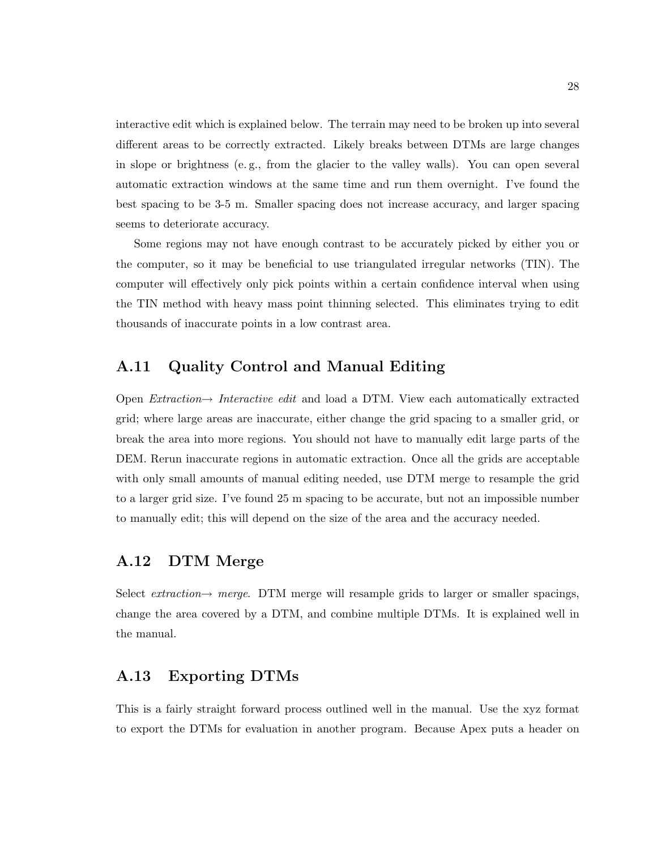interactive edit which is explained below. The terrain may need to be broken up into several different areas to be correctly extracted. Likely breaks between DTMs are large changes in slope or brightness (e. g., from the glacier to the valley walls). You can open several automatic extraction windows at the same time and run them overnight. I've found the best spacing to be 3-5 m. Smaller spacing does not increase accuracy, and larger spacing seems to deteriorate accuracy.

Some regions may not have enough contrast to be accurately picked by either you or the computer, so it may be beneficial to use triangulated irregular networks (TIN). The computer will effectively only pick points within a certain confidence interval when using the TIN method with heavy mass point thinning selected. This eliminates trying to edit thousands of inaccurate points in a low contrast area.

#### A.11 Quality Control and Manual Editing

Open *Extraction* $\rightarrow$  *Interactive edit* and load a DTM. View each automatically extracted grid; where large areas are inaccurate, either change the grid spacing to a smaller grid, or break the area into more regions. You should not have to manually edit large parts of the DEM. Rerun inaccurate regions in automatic extraction. Once all the grids are acceptable with only small amounts of manual editing needed, use DTM merge to resample the grid to a larger grid size. I've found 25 m spacing to be accurate, but not an impossible number to manually edit; this will depend on the size of the area and the accuracy needed.

#### A.12 DTM Merge

Select *extraction* $\rightarrow$  merge. DTM merge will resample grids to larger or smaller spacings, change the area covered by a DTM, and combine multiple DTMs. It is explained well in the manual.

### A.13 Exporting DTMs

This is a fairly straight forward process outlined well in the manual. Use the xyz format to export the DTMs for evaluation in another program. Because Apex puts a header on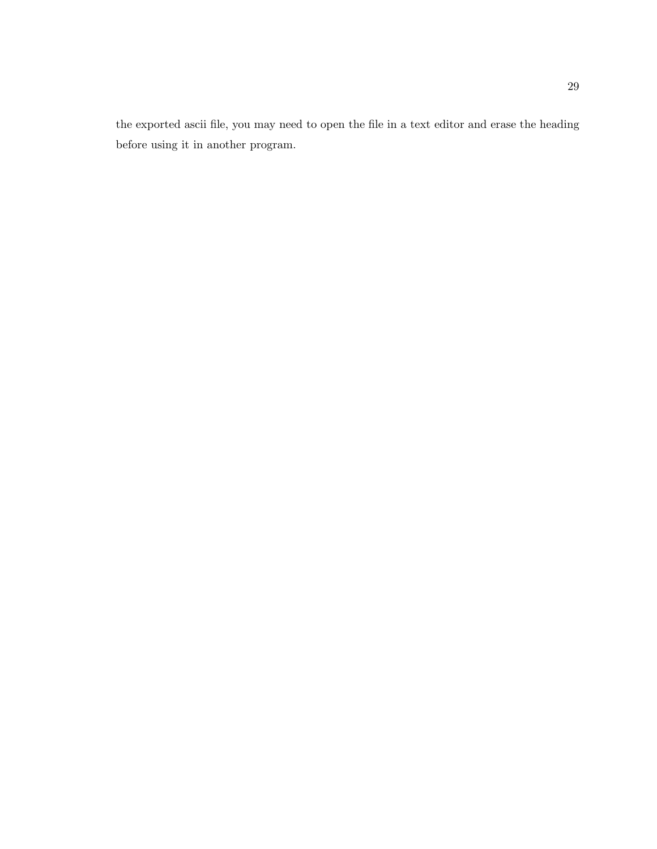the exported ascii file, you may need to open the file in a text editor and erase the heading before using it in another program.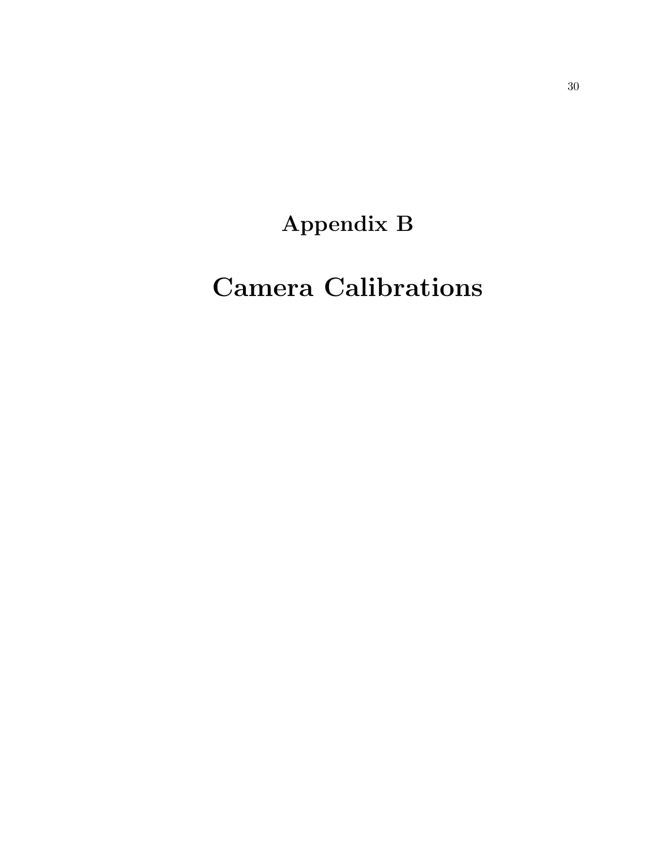# Appendix B

# Camera Calibrations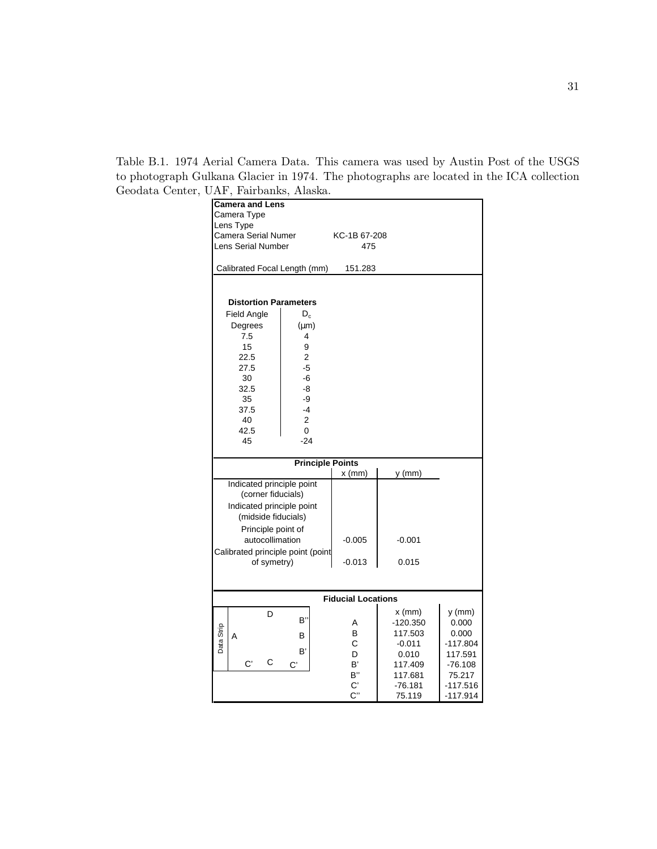Table B.1. 1974 Aerial Camera Data. This camera was used by Austin Post of the USGS to photograph Gulkana Glacier in 1974. The photographs are located in the ICA collection Geodata Center, UAF, Fairbanks, Alaska.

|            | <b>Camera and Lens</b>              |                         |                           |            |            |  |  |
|------------|-------------------------------------|-------------------------|---------------------------|------------|------------|--|--|
|            | Camera Type                         |                         |                           |            |            |  |  |
|            | Lens Type                           |                         |                           |            |            |  |  |
|            | Camera Serial Numer<br>KC-1B 67-208 |                         |                           |            |            |  |  |
|            |                                     |                         |                           |            |            |  |  |
|            | Lens Serial Number                  |                         | 475                       |            |            |  |  |
|            |                                     |                         |                           |            |            |  |  |
|            | Calibrated Focal Length (mm)        |                         | 151.283                   |            |            |  |  |
|            |                                     |                         |                           |            |            |  |  |
|            |                                     |                         |                           |            |            |  |  |
|            |                                     |                         |                           |            |            |  |  |
|            | <b>Distortion Parameters</b>        |                         |                           |            |            |  |  |
|            | Field Angle                         | $D_{c}$                 |                           |            |            |  |  |
|            | Degrees                             | $(\mu m)$               |                           |            |            |  |  |
|            |                                     |                         |                           |            |            |  |  |
|            | 7.5                                 | 4                       |                           |            |            |  |  |
|            | 15                                  | 9                       |                           |            |            |  |  |
|            | 22.5                                | $\overline{c}$          |                           |            |            |  |  |
|            | 27.5                                | $-5$                    |                           |            |            |  |  |
|            | 30                                  | -6                      |                           |            |            |  |  |
|            | 32.5                                | -8                      |                           |            |            |  |  |
|            |                                     |                         |                           |            |            |  |  |
|            | 35                                  | -9                      |                           |            |            |  |  |
|            | 37.5                                | $-4$                    |                           |            |            |  |  |
|            | 40                                  | 2                       |                           |            |            |  |  |
|            | 42.5                                | 0                       |                           |            |            |  |  |
|            | 45                                  | $-24$                   |                           |            |            |  |  |
|            |                                     |                         |                           |            |            |  |  |
|            |                                     | <b>Principle Points</b> |                           |            |            |  |  |
|            |                                     |                         | $x$ (mm)                  | $y$ (mm)   |            |  |  |
|            | Indicated principle point           |                         |                           |            |            |  |  |
|            |                                     |                         |                           |            |            |  |  |
|            | (corner fiducials)                  |                         |                           |            |            |  |  |
|            | Indicated principle point           |                         |                           |            |            |  |  |
|            | (midside fiducials)                 |                         |                           |            |            |  |  |
|            | Principle point of                  |                         |                           |            |            |  |  |
|            |                                     |                         |                           |            |            |  |  |
|            | autocollimation                     |                         | $-0.005$                  | $-0.001$   |            |  |  |
|            | Calibrated principle point (point   |                         |                           |            |            |  |  |
|            | of symetry)                         |                         | $-0.013$                  | 0.015      |            |  |  |
|            |                                     |                         |                           |            |            |  |  |
|            |                                     |                         |                           |            |            |  |  |
|            |                                     |                         |                           |            |            |  |  |
|            |                                     |                         | <b>Fiducial Locations</b> |            |            |  |  |
|            |                                     |                         |                           | $x$ (mm)   | $y$ (mm)   |  |  |
|            | D                                   | в"                      |                           |            |            |  |  |
|            |                                     |                         | А                         | $-120.350$ | 0.000      |  |  |
| Data Strip | A                                   | В                       | в                         | 117.503    | 0.000      |  |  |
|            |                                     |                         | С                         | $-0.011$   | $-117.804$ |  |  |
|            |                                     | B'                      | D                         | 0.010      | 117.591    |  |  |
|            | С<br>C'                             | C,                      | B'                        | 117.409    | $-76.108$  |  |  |
|            |                                     |                         | В"                        | 117.681    | 75.217     |  |  |
|            |                                     |                         |                           |            |            |  |  |
|            |                                     |                         | $\mathbf{C}^*$            | $-76.181$  | $-117.516$ |  |  |
|            |                                     |                         | C''                       | 75.119     | -117.914   |  |  |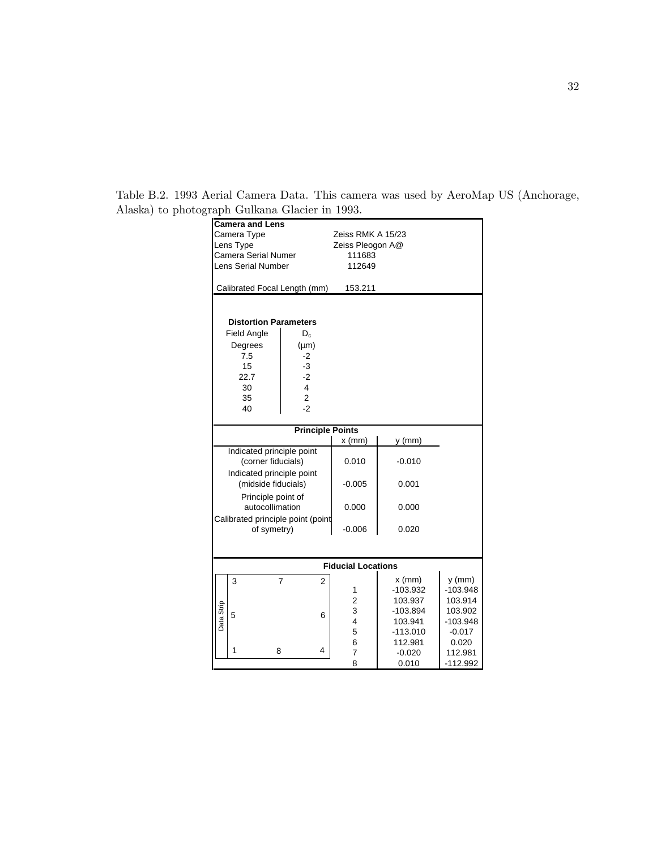| <b>Camera and Lens</b> |                                   |                                  |                           |            |            |
|------------------------|-----------------------------------|----------------------------------|---------------------------|------------|------------|
|                        |                                   |                                  |                           |            |            |
|                        | Camera Type                       |                                  | Zeiss RMK A 15/23         |            |            |
|                        | Lens Type                         |                                  | Zeiss Pleogon A@          |            |            |
|                        | <b>Camera Serial Numer</b>        |                                  | 111683                    |            |            |
|                        | <b>Lens Serial Number</b>         |                                  | 112649                    |            |            |
|                        |                                   |                                  |                           |            |            |
|                        | Calibrated Focal Length (mm)      |                                  | 153.211                   |            |            |
|                        |                                   |                                  |                           |            |            |
|                        |                                   |                                  |                           |            |            |
|                        | <b>Distortion Parameters</b>      |                                  |                           |            |            |
|                        | <b>Field Angle</b>                | $D_c$                            |                           |            |            |
|                        | Degrees                           | $(\mu m)$                        |                           |            |            |
|                        | 7.5                               | $-2$                             |                           |            |            |
|                        | 15                                | $-3$                             |                           |            |            |
|                        | 22.7                              | $-2$                             |                           |            |            |
|                        | 30                                | $\overline{4}$                   |                           |            |            |
|                        | 35                                | $\overline{2}$                   |                           |            |            |
|                        | 40                                | $-2$                             |                           |            |            |
|                        |                                   |                                  |                           |            |            |
|                        |                                   | <b>Principle Points</b>          |                           |            |            |
|                        |                                   |                                  | $x$ (mm)                  | $y$ (mm)   |            |
|                        | Indicated principle point         |                                  |                           |            |            |
|                        | (corner fiducials)                |                                  | 0.010                     | $-0.010$   |            |
|                        | Indicated principle point         |                                  |                           |            |            |
|                        | (midside fiducials)               |                                  | $-0.005$                  | 0.001      |            |
|                        | Principle point of                |                                  |                           |            |            |
|                        | autocollimation                   |                                  | 0.000                     | 0.000      |            |
|                        | Calibrated principle point (point |                                  |                           |            |            |
|                        | of symetry)                       |                                  | $-0.006$                  | 0.020      |            |
|                        |                                   |                                  |                           |            |            |
|                        |                                   |                                  |                           |            |            |
|                        |                                   |                                  |                           |            |            |
|                        |                                   |                                  | <b>Fiducial Locations</b> |            |            |
|                        | 3                                 | $\overline{7}$<br>$\overline{2}$ |                           | $x$ (mm)   | $y$ (mm)   |
|                        |                                   |                                  | 1                         | -103.932   | $-103.948$ |
|                        |                                   |                                  | 2                         | 103.937    | 103.914    |
|                        | 5                                 | 6                                | 3                         | $-103.894$ | 103.902    |
| Data Strip             |                                   |                                  | $\overline{4}$            | 103.941    | -103.948   |
|                        |                                   |                                  | 5                         | $-113.010$ | $-0.017$   |
|                        |                                   |                                  | 6                         | 112.981    | 0.020      |
|                        | 1<br>8                            | 4                                | $\overline{7}$            | $-0.020$   | 112.981    |
|                        |                                   |                                  | 8                         | 0.010      | $-112.992$ |

Table B.2. 1993 Aerial Camera Data. This camera was used by AeroMap US (Anchorage, Alaska) to photograph Gulkana Glacier in 1993.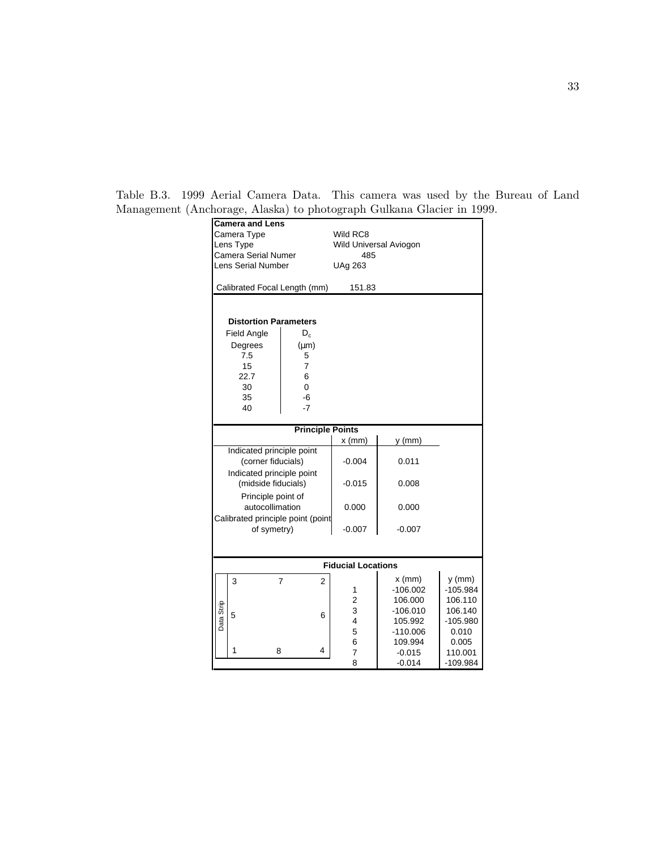|                            |                                   |                                  |                           |                     | <b>Camera and Lens</b> |  |  |  |  |  |  |
|----------------------------|-----------------------------------|----------------------------------|---------------------------|---------------------|------------------------|--|--|--|--|--|--|
|                            | Camera Type                       |                                  | Wild RC8                  |                     |                        |  |  |  |  |  |  |
|                            | Lens Type                         |                                  | Wild Universal Aviogon    |                     |                        |  |  |  |  |  |  |
| <b>Camera Serial Numer</b> |                                   |                                  | 485                       |                     |                        |  |  |  |  |  |  |
|                            | <b>Lens Serial Number</b>         |                                  | <b>UAg 263</b>            |                     |                        |  |  |  |  |  |  |
|                            | Calibrated Focal Length (mm)      |                                  | 151.83                    |                     |                        |  |  |  |  |  |  |
|                            |                                   |                                  |                           |                     |                        |  |  |  |  |  |  |
|                            |                                   |                                  |                           |                     |                        |  |  |  |  |  |  |
|                            | <b>Distortion Parameters</b>      |                                  |                           |                     |                        |  |  |  |  |  |  |
|                            | <b>Field Angle</b>                | $D_{c}$                          |                           |                     |                        |  |  |  |  |  |  |
|                            | Degrees                           | $(\mu m)$                        |                           |                     |                        |  |  |  |  |  |  |
|                            | 7.5                               | 5                                |                           |                     |                        |  |  |  |  |  |  |
|                            | 15<br>22.7                        | 7<br>6                           |                           |                     |                        |  |  |  |  |  |  |
|                            | 30                                | 0                                |                           |                     |                        |  |  |  |  |  |  |
|                            | 35                                | -6                               |                           |                     |                        |  |  |  |  |  |  |
|                            | 40                                | $-7$                             |                           |                     |                        |  |  |  |  |  |  |
|                            |                                   |                                  |                           |                     |                        |  |  |  |  |  |  |
|                            |                                   | <b>Principle Points</b>          |                           |                     |                        |  |  |  |  |  |  |
|                            |                                   |                                  | $x \, (mm)$               | $y$ (mm)            |                        |  |  |  |  |  |  |
|                            | Indicated principle point         |                                  |                           |                     |                        |  |  |  |  |  |  |
|                            | (corner fiducials)                |                                  | $-0.004$                  | 0.011               |                        |  |  |  |  |  |  |
|                            | Indicated principle point         |                                  |                           |                     |                        |  |  |  |  |  |  |
|                            | (midside fiducials)               |                                  | $-0.015$                  | 0.008               |                        |  |  |  |  |  |  |
|                            | Principle point of                |                                  |                           |                     |                        |  |  |  |  |  |  |
|                            | autocollimation                   |                                  | 0.000                     | 0.000               |                        |  |  |  |  |  |  |
|                            | Calibrated principle point (point |                                  |                           |                     |                        |  |  |  |  |  |  |
|                            | of symetry)                       |                                  | $-0.007$                  | $-0.007$            |                        |  |  |  |  |  |  |
|                            |                                   |                                  |                           |                     |                        |  |  |  |  |  |  |
|                            |                                   |                                  |                           |                     |                        |  |  |  |  |  |  |
|                            |                                   |                                  | <b>Fiducial Locations</b> |                     |                        |  |  |  |  |  |  |
|                            | 3                                 | $\overline{7}$<br>$\overline{2}$ |                           | $x$ (mm)            | y (mm)                 |  |  |  |  |  |  |
|                            |                                   |                                  | 1                         | $-106.002$          | $-105.984$             |  |  |  |  |  |  |
|                            |                                   |                                  | 2                         | 106.000             | 106.110                |  |  |  |  |  |  |
|                            | 5                                 | 6                                | 3                         | $-106.010$          | 106.140                |  |  |  |  |  |  |
| Data Strip                 |                                   |                                  | $\overline{4}$            | 105.992             | $-105.980$             |  |  |  |  |  |  |
|                            |                                   |                                  | 5<br>6                    | $-110.006$          | 0.010<br>0.005         |  |  |  |  |  |  |
|                            | 1<br>8                            | 4                                | 7                         | 109.994<br>$-0.015$ | 110.001                |  |  |  |  |  |  |
|                            |                                   |                                  | 8                         | $-0.014$            | $-109.984$             |  |  |  |  |  |  |

Table B.3. 1999 Aerial Camera Data. This camera was used by the Bureau of Land Management (Anchorage, Alaska) to photograph Gulkana Glacier in 1999.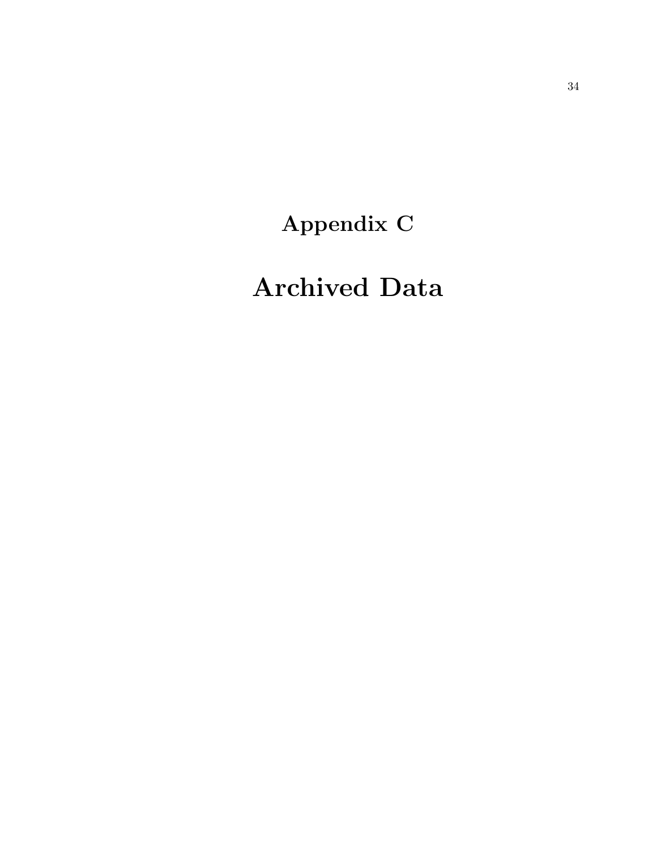Appendix C

# Archived Data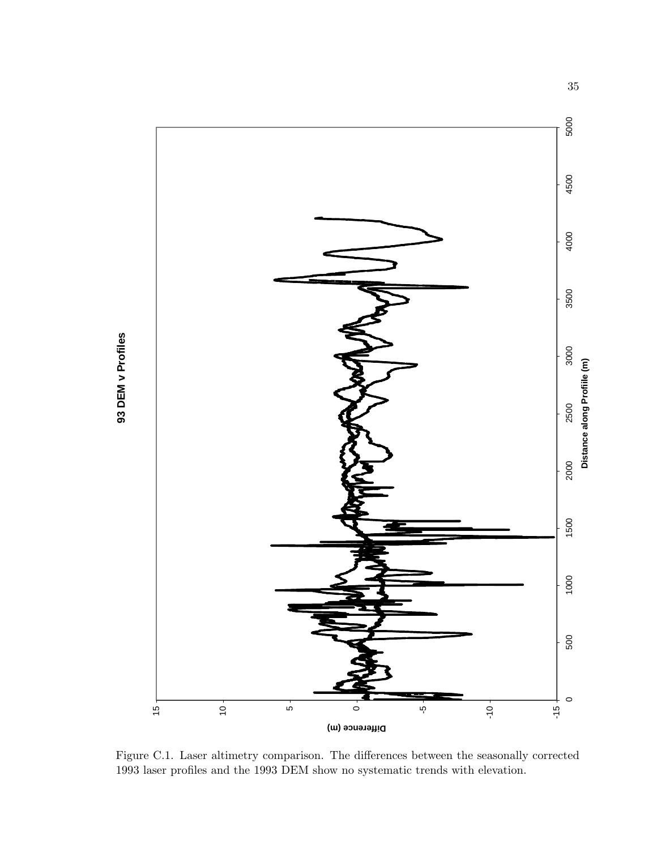

Figure C.1. Laser altimetry comparison. The differences between the seasonally corrected 1993 laser profiles and the 1993 DEM show no systematic trends with elevation.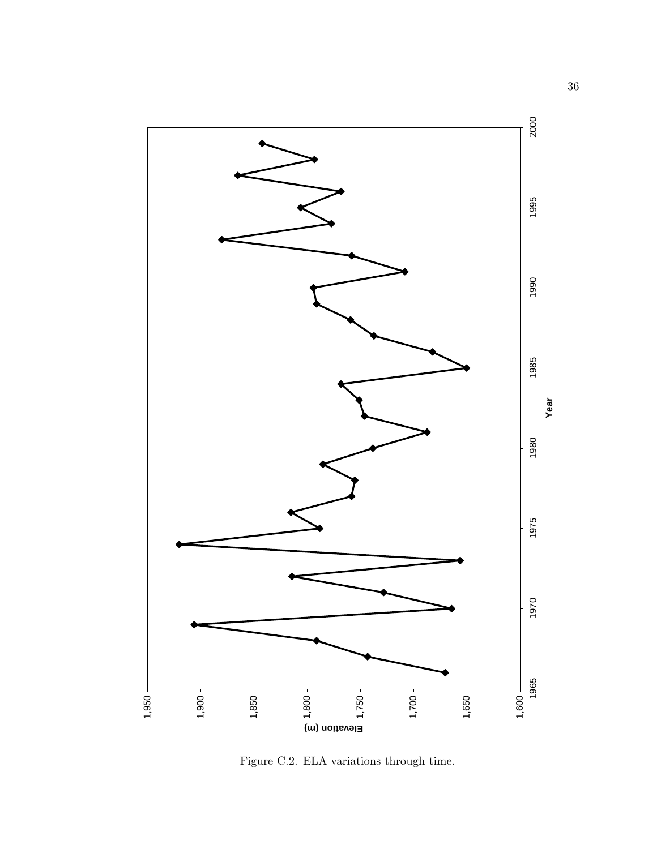

Figure C.2. ELA variations through time.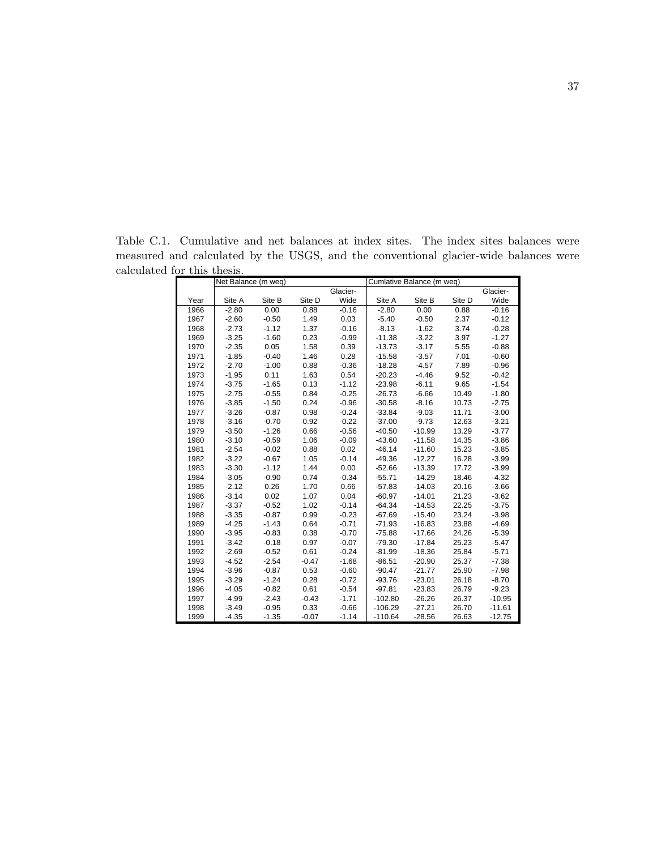Table C.1. Cumulative and net balances at index sites. The index sites balances were measured and calculated by the USGS, and the conventional glacier-wide balances were calculated for this thesis.

|      | Net Balance (m weq) |         |         |          | Cumlative Balance (m weq) |          |        |          |
|------|---------------------|---------|---------|----------|---------------------------|----------|--------|----------|
|      |                     |         |         | Glacier- |                           |          |        | Glacier- |
| Year | Site A              | Site B  | Site D  | Wide     | Site A                    | Site B   | Site D | Wide     |
| 1966 | $-2.80$             | 0.00    | 0.88    | $-0.16$  | $-2.80$                   | 0.00     | 0.88   | $-0.16$  |
| 1967 | $-2.60$             | $-0.50$ | 1.49    | 0.03     | $-5.40$                   | $-0.50$  | 2.37   | $-0.12$  |
| 1968 | $-2.73$             | $-1.12$ | 1.37    | $-0.16$  | $-8.13$                   | $-1.62$  | 3.74   | $-0.28$  |
| 1969 | $-3.25$             | $-1.60$ | 0.23    | $-0.99$  | $-11.38$                  | $-3.22$  | 3.97   | $-1.27$  |
| 1970 | $-2.35$             | 0.05    | 1.58    | 0.39     | $-13.73$                  | $-3.17$  | 5.55   | $-0.88$  |
| 1971 | $-1.85$             | $-0.40$ | 1.46    | 0.28     | $-15.58$                  | $-3.57$  | 7.01   | $-0.60$  |
| 1972 | $-2.70$             | $-1.00$ | 0.88    | $-0.36$  | $-18.28$                  | $-4.57$  | 7.89   | $-0.96$  |
| 1973 | $-1.95$             | 0.11    | 1.63    | 0.54     | $-20.23$                  | $-4.46$  | 9.52   | $-0.42$  |
| 1974 | $-3.75$             | $-1.65$ | 0.13    | $-1.12$  | $-23.98$                  | $-6.11$  | 9.65   | $-1.54$  |
| 1975 | $-2.75$             | $-0.55$ | 0.84    | $-0.25$  | $-26.73$                  | $-6.66$  | 10.49  | $-1.80$  |
| 1976 | $-3.85$             | $-1.50$ | 0.24    | $-0.96$  | $-30.58$                  | $-8.16$  | 10.73  | $-2.75$  |
| 1977 | $-3.26$             | $-0.87$ | 0.98    | $-0.24$  | $-33.84$                  | $-9.03$  | 11.71  | $-3.00$  |
| 1978 | $-3.16$             | $-0.70$ | 0.92    | $-0.22$  | $-37.00$                  | $-9.73$  | 12.63  | $-3.21$  |
| 1979 | $-3.50$             | $-1.26$ | 0.66    | $-0.56$  | $-40.50$                  | $-10.99$ | 13.29  | $-3.77$  |
| 1980 | $-3.10$             | $-0.59$ | 1.06    | $-0.09$  | $-43.60$                  | $-11.58$ | 14.35  | $-3.86$  |
| 1981 | $-2.54$             | $-0.02$ | 0.88    | 0.02     | $-46.14$                  | $-11.60$ | 15.23  | $-3.85$  |
| 1982 | $-3.22$             | $-0.67$ | 1.05    | $-0.14$  | $-49.36$                  | $-12.27$ | 16.28  | $-3.99$  |
| 1983 | $-3.30$             | $-1.12$ | 1.44    | 0.00     | $-52.66$                  | $-13.39$ | 17.72  | $-3.99$  |
| 1984 | $-3.05$             | $-0.90$ | 0.74    | $-0.34$  | $-55.71$                  | $-14.29$ | 18.46  | $-4.32$  |
| 1985 | $-2.12$             | 0.26    | 1.70    | 0.66     | $-57.83$                  | $-14.03$ | 20.16  | $-3.66$  |
| 1986 | $-3.14$             | 0.02    | 1.07    | 0.04     | $-60.97$                  | $-14.01$ | 21.23  | $-3.62$  |
| 1987 | $-3.37$             | $-0.52$ | 1.02    | $-0.14$  | $-64.34$                  | $-14.53$ | 22.25  | $-3.75$  |
| 1988 | $-3.35$             | $-0.87$ | 0.99    | $-0.23$  | $-67.69$                  | $-15.40$ | 23.24  | $-3.98$  |
| 1989 | $-4.25$             | $-1.43$ | 0.64    | $-0.71$  | $-71.93$                  | $-16.83$ | 23.88  | $-4.69$  |
| 1990 | $-3.95$             | $-0.83$ | 0.38    | $-0.70$  | $-75.88$                  | $-17.66$ | 24.26  | $-5.39$  |
| 1991 | $-3.42$             | $-0.18$ | 0.97    | $-0.07$  | $-79.30$                  | $-17.84$ | 25.23  | $-5.47$  |
| 1992 | $-2.69$             | $-0.52$ | 0.61    | $-0.24$  | $-81.99$                  | $-18.36$ | 25.84  | $-5.71$  |
| 1993 | $-4.52$             | $-2.54$ | $-0.47$ | $-1.68$  | $-86.51$                  | $-20.90$ | 25.37  | $-7.38$  |
| 1994 | $-3.96$             | $-0.87$ | 0.53    | $-0.60$  | $-90.47$                  | $-21.77$ | 25.90  | $-7.98$  |
| 1995 | $-3.29$             | $-1.24$ | 0.28    | $-0.72$  | $-93.76$                  | $-23.01$ | 26.18  | $-8.70$  |
| 1996 | $-4.05$             | $-0.82$ | 0.61    | $-0.54$  | $-97.81$                  | $-23.83$ | 26.79  | $-9.23$  |
| 1997 | $-4.99$             | $-2.43$ | $-0.43$ | $-1.71$  | $-102.80$                 | $-26.26$ | 26.37  | $-10.95$ |
| 1998 | $-3.49$             | $-0.95$ | 0.33    | $-0.66$  | $-106.29$                 | $-27.21$ | 26.70  | $-11.61$ |
| 1999 | $-4.35$             | $-1.35$ | $-0.07$ | $-1.14$  | $-110.64$                 | $-28.56$ | 26.63  | $-12.75$ |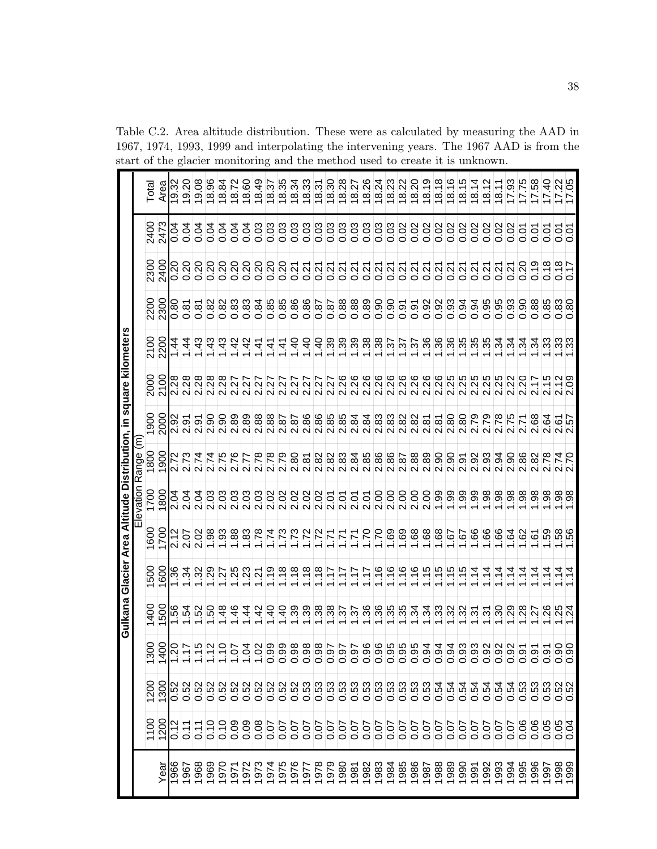|              |                      |                                                                  |                              |                           |                                                                                                                                                                                                                                                                                                                                                                                                                                 |                                                                                                                               |                           | Gulkana Glacier Area Altitude Distribution, in square kilometers |                                                                                                                                                                                       |                                |                                                                                                                                                                                                                                                                                                                                                                                                                                     |                                                                                                               |                             |                   |                                                 |
|--------------|----------------------|------------------------------------------------------------------|------------------------------|---------------------------|---------------------------------------------------------------------------------------------------------------------------------------------------------------------------------------------------------------------------------------------------------------------------------------------------------------------------------------------------------------------------------------------------------------------------------|-------------------------------------------------------------------------------------------------------------------------------|---------------------------|------------------------------------------------------------------|---------------------------------------------------------------------------------------------------------------------------------------------------------------------------------------|--------------------------------|-------------------------------------------------------------------------------------------------------------------------------------------------------------------------------------------------------------------------------------------------------------------------------------------------------------------------------------------------------------------------------------------------------------------------------------|---------------------------------------------------------------------------------------------------------------|-----------------------------|-------------------|-------------------------------------------------|
|              |                      |                                                                  |                              |                           |                                                                                                                                                                                                                                                                                                                                                                                                                                 |                                                                                                                               |                           | Elevation Range (m)                                              |                                                                                                                                                                                       |                                |                                                                                                                                                                                                                                                                                                                                                                                                                                     |                                                                                                               |                             |                   |                                                 |
|              | 1100                 | 1200                                                             | Š.<br>రై                     | 1400                      | 1500                                                                                                                                                                                                                                                                                                                                                                                                                            | 1600                                                                                                                          | 1700                      | 1800                                                             | ဓ္တ                                                                                                                                                                                   | 2000                           | <b>SLZ</b>                                                                                                                                                                                                                                                                                                                                                                                                                          | 2200                                                                                                          | 2300                        | 2400              | Total                                           |
| Year         | 1200                 | 1300                                                             |                              | 1500                      | 800                                                                                                                                                                                                                                                                                                                                                                                                                             | 1700                                                                                                                          | 800                       | 1900                                                             | 2000                                                                                                                                                                                  | 2100                           | 2200                                                                                                                                                                                                                                                                                                                                                                                                                                |                                                                                                               | 2400                        |                   | Area                                            |
| 366          | 0.12                 |                                                                  |                              | 1.56                      | 9£.                                                                                                                                                                                                                                                                                                                                                                                                                             | 2.12                                                                                                                          | 2.04                      |                                                                  | 2.92                                                                                                                                                                                  | 2.28                           | 1.44                                                                                                                                                                                                                                                                                                                                                                                                                                | 0.80                                                                                                          | 0.20                        | 0.04              | 9.32                                            |
| 967          | $\sum_{i=1}^{n}$     | 000000000000<br>000000000000                                     |                              | 1.54                      | 1.34                                                                                                                                                                                                                                                                                                                                                                                                                            | 2.07                                                                                                                          | 2.04                      |                                                                  | $\overline{2.91}$                                                                                                                                                                     |                                | $\frac{4}{4}$                                                                                                                                                                                                                                                                                                                                                                                                                       | 0.87                                                                                                          | 0.20                        | 0.04              | 0.20                                            |
| 968          | $\frac{1}{\sqrt{2}}$ |                                                                  |                              |                           | $\overline{32}$                                                                                                                                                                                                                                                                                                                                                                                                                 | 2.02                                                                                                                          |                           | 2.74                                                             |                                                                                                                                                                                       |                                | 1.43                                                                                                                                                                                                                                                                                                                                                                                                                                |                                                                                                               | $\frac{0.20}{2}$            | 0.04              | 9.08                                            |
| 969          | 0.10                 |                                                                  |                              | $\frac{1.52}{1.50}$       |                                                                                                                                                                                                                                                                                                                                                                                                                                 | $\frac{8}{5}$ $\frac{8}{5}$ $\frac{8}{5}$                                                                                     |                           | $\frac{2.74}{2.75}$                                              |                                                                                                                                                                                       |                                | 1.43                                                                                                                                                                                                                                                                                                                                                                                                                                |                                                                                                               | 0.20                        | 0.04              | 8ò<br>$\frac{1}{8}$                             |
| 970          | 0.10                 |                                                                  |                              | $\frac{48}{1}$            |                                                                                                                                                                                                                                                                                                                                                                                                                                 |                                                                                                                               |                           |                                                                  |                                                                                                                                                                                       |                                | 1.43                                                                                                                                                                                                                                                                                                                                                                                                                                |                                                                                                               | $\frac{0.20}{2}$            | 0.04              | ಹ<br>$\overline{\mathsf{e}}$                    |
| 571          | 0.09                 |                                                                  |                              | 1.46                      | $\frac{ S }{\frac{ S }{\sqrt{2}}}\frac{ S }{\frac{ S }{\sqrt{2}}}\frac{ S }{\frac{ S }{\sqrt{2}}}\frac{ S }{\frac{ S }{\sqrt{2}}}\frac{ S }{\frac{ S }{\sqrt{2}}}\frac{ S }{\frac{ S }{\sqrt{2}}}\frac{ S }{\frac{ S }{\sqrt{2}}}\frac{ S }{\frac{ S }{\sqrt{2}}}\frac{ S }{\frac{ S }{\sqrt{2}}}\frac{ S }{\frac{ S }{\sqrt{2}}}\frac{ S }{\frac{ S }{\sqrt{2}}}\frac{ S }{\frac{ S }{\sqrt{2}}}\frac{ S }{\frac{ S }{\sqrt{2$ |                                                                                                                               |                           | RFRR<br>NNNN                                                     | $\frac{2}{3}$ $\frac{2}{3}$ $\frac{2}{3}$ $\frac{2}{3}$ $\frac{2}{3}$ $\frac{2}{3}$ $\frac{2}{3}$ $\frac{2}{3}$ $\frac{2}{3}$ $\frac{2}{3}$ $\frac{2}{3}$ $\frac{2}{3}$ $\frac{2}{3}$ |                                | 1.42                                                                                                                                                                                                                                                                                                                                                                                                                                | 0000000<br>0000000                                                                                            | ချီချီချီ<br>မြို့သူ        | 0.04              | 8.72                                            |
| 972          | 0.09                 |                                                                  |                              | 1.44                      |                                                                                                                                                                                                                                                                                                                                                                                                                                 |                                                                                                                               |                           |                                                                  |                                                                                                                                                                                       |                                | 1.42                                                                                                                                                                                                                                                                                                                                                                                                                                |                                                                                                               |                             | $\overline{0.04}$ | 8.60                                            |
| 973          | 0.08                 |                                                                  |                              | 1.42                      |                                                                                                                                                                                                                                                                                                                                                                                                                                 | $\frac{1.78}{1.74}$                                                                                                           |                           |                                                                  |                                                                                                                                                                                       |                                | 1.41                                                                                                                                                                                                                                                                                                                                                                                                                                |                                                                                                               |                             | 0.03              | $\frac{9}{4}$<br>$\overset{\infty}{\leftarrow}$ |
| 974          | 0.07                 |                                                                  |                              | $\frac{1.40}{ }$          |                                                                                                                                                                                                                                                                                                                                                                                                                                 |                                                                                                                               |                           |                                                                  |                                                                                                                                                                                       |                                | 1.41                                                                                                                                                                                                                                                                                                                                                                                                                                | 0.85                                                                                                          | 0.20                        | $\overline{0.03}$ | 18.37                                           |
| 1975         | $\frac{5}{0}$        |                                                                  |                              | $\frac{40}{1}$            | 1.18                                                                                                                                                                                                                                                                                                                                                                                                                            | $\frac{62}{1.73}$                                                                                                             |                           | 2.79                                                             | 2.87                                                                                                                                                                                  | 2.27                           | 1.41                                                                                                                                                                                                                                                                                                                                                                                                                                | 0.85                                                                                                          | 0.20                        | 0.03              | 18.35                                           |
| 1976         | $\frac{50}{2}$       | 0.52                                                             |                              | $\frac{1.39}{ }$          | 1.18                                                                                                                                                                                                                                                                                                                                                                                                                            |                                                                                                                               |                           | 2.80                                                             | 2.87                                                                                                                                                                                  | ZŻ.<br>$\overline{\mathsf{N}}$ | 1.40                                                                                                                                                                                                                                                                                                                                                                                                                                | 0.86                                                                                                          | $\frac{21}{2}$              | 0.03              | 18.34                                           |
|              | $\overline{0.07}$    | 0.53                                                             |                              | 1.39                      | 1.18                                                                                                                                                                                                                                                                                                                                                                                                                            | 1.72                                                                                                                          |                           |                                                                  | 2.86                                                                                                                                                                                  |                                | 1.40                                                                                                                                                                                                                                                                                                                                                                                                                                | 0.86                                                                                                          |                             | 0.03              | 18.33                                           |
| 1978         | 0.07                 |                                                                  |                              | 1.38                      | 1.18                                                                                                                                                                                                                                                                                                                                                                                                                            | $\frac{1.72}{1.71}$                                                                                                           |                           |                                                                  |                                                                                                                                                                                       |                                |                                                                                                                                                                                                                                                                                                                                                                                                                                     | 78.0                                                                                                          |                             | 0.03              | 18.31                                           |
| 1979         | $\frac{0.07}{0}$     | အိုက္မွဳက္တြက္တြက္တြက္တြက္တြက္တြ<br> အိုက္သက္သက္သက္သက္သက္သက္သက္သ |                              | $\frac{1.36}{1.37}$       | 1.17                                                                                                                                                                                                                                                                                                                                                                                                                            |                                                                                                                               | 00005555000<br>0000555000 |                                                                  |                                                                                                                                                                                       |                                | $\frac{1}{1-\frac{1}{2}}\left \frac{1}{2\frac{1}{2}}\right \frac{1}{2\frac{1}{2}}\left \frac{1}{2\frac{1}{2}}\right \frac{1}{2\frac{1}{2}}\left \frac{1}{2\frac{1}{2}}\right \frac{1}{2\frac{1}{2}}\left \frac{1}{2\frac{1}{2}}\right \frac{1}{2\frac{1}{2}}\left \frac{1}{2\frac{1}{2}}\right \frac{1}{2\frac{1}{2}}\left \frac{1}{2\frac{1}{2}}\right \frac{1}{2\frac{1}{2}}\left \frac{1}{2\frac{1}{2}}\right \frac{1}{2\frac{1$ | $\frac{88}{180}$                                                                                              | 00000<br> 2  2  2  2        | 0.03              | 18.30                                           |
| 1980         | 0.07                 |                                                                  |                              |                           | 1.17                                                                                                                                                                                                                                                                                                                                                                                                                            | 1.71                                                                                                                          |                           |                                                                  |                                                                                                                                                                                       |                                |                                                                                                                                                                                                                                                                                                                                                                                                                                     |                                                                                                               |                             | $\overline{0.03}$ | 18.28                                           |
| 1981         | 0.07                 |                                                                  |                              |                           | 1.17                                                                                                                                                                                                                                                                                                                                                                                                                            | 1.71                                                                                                                          |                           |                                                                  |                                                                                                                                                                                       |                                |                                                                                                                                                                                                                                                                                                                                                                                                                                     | $\frac{88}{0}$                                                                                                | 0.21                        | 0.03              | 18.27                                           |
| 1982         | 0.07                 |                                                                  |                              | $\frac{25}{128}$          | 1.17                                                                                                                                                                                                                                                                                                                                                                                                                            | $\frac{02.1}{1.70}$                                                                                                           |                           |                                                                  |                                                                                                                                                                                       |                                |                                                                                                                                                                                                                                                                                                                                                                                                                                     | $\frac{8}{3}$                                                                                                 | 0.21                        | 0.03              | 18.26                                           |
| 1983         | $\frac{0.07}{0.07}$  |                                                                  |                              |                           | 1.16                                                                                                                                                                                                                                                                                                                                                                                                                            |                                                                                                                               |                           |                                                                  |                                                                                                                                                                                       |                                |                                                                                                                                                                                                                                                                                                                                                                                                                                     | $\frac{8}{0.90}$                                                                                              |                             | 0.03              | 18.24                                           |
| 1984<br>1985 |                      |                                                                  |                              |                           | 1.16                                                                                                                                                                                                                                                                                                                                                                                                                            | 1.69                                                                                                                          |                           |                                                                  |                                                                                                                                                                                       |                                |                                                                                                                                                                                                                                                                                                                                                                                                                                     |                                                                                                               | $\frac{0.27}{0.21}$         | $\overline{0.03}$ | 18.23                                           |
|              | 0.07                 |                                                                  |                              |                           | 1.16                                                                                                                                                                                                                                                                                                                                                                                                                            | 1.69                                                                                                                          |                           |                                                                  |                                                                                                                                                                                       |                                |                                                                                                                                                                                                                                                                                                                                                                                                                                     | 0.91                                                                                                          |                             | 0.02              | $\frac{18.22}{2}$                               |
| 1986         | $\frac{0.07}{0}$     |                                                                  |                              | 1.34                      | 1.16                                                                                                                                                                                                                                                                                                                                                                                                                            | $\frac{8}{3}$ .                                                                                                               | 2.00                      |                                                                  |                                                                                                                                                                                       |                                |                                                                                                                                                                                                                                                                                                                                                                                                                                     | $\overline{0.91}$                                                                                             | $\overline{0.21}$           | 0.02              | 18.20                                           |
| 1987         | 0.07                 |                                                                  |                              | 1.34                      | 1.15                                                                                                                                                                                                                                                                                                                                                                                                                            | 1.68                                                                                                                          | 2.00                      |                                                                  |                                                                                                                                                                                       |                                |                                                                                                                                                                                                                                                                                                                                                                                                                                     | 0.92                                                                                                          | $\overline{0.21}$           | 0.02              | $\overline{18.19}$                              |
| 1988         | 0.07                 | 0.54                                                             |                              | 1.33                      | 1.15                                                                                                                                                                                                                                                                                                                                                                                                                            | 1.68                                                                                                                          |                           | 2.90                                                             |                                                                                                                                                                                       |                                |                                                                                                                                                                                                                                                                                                                                                                                                                                     | 0.92                                                                                                          | 0.21                        | 0.02              | 18.18                                           |
| 989          | $\frac{0.07}{2}$     | 0.54                                                             |                              | 1.32                      | 1.15                                                                                                                                                                                                                                                                                                                                                                                                                            | $\frac{1.67}{ }$                                                                                                              |                           |                                                                  |                                                                                                                                                                                       |                                |                                                                                                                                                                                                                                                                                                                                                                                                                                     | 0.93                                                                                                          | $\overline{0.21}$           | 0.02              | 18.16                                           |
| 066          | 0.07                 | $\frac{0.54}{0.54}$                                              |                              | 1.32                      | 1.15                                                                                                                                                                                                                                                                                                                                                                                                                            | 1.67                                                                                                                          |                           |                                                                  | <br> ន  <br> ន  <br> ន  <br> ន                                                                                                                                                        |                                |                                                                                                                                                                                                                                                                                                                                                                                                                                     | 0.94                                                                                                          | $\frac{27}{0.27}$           | 0.02              | ഥ<br>18.1                                       |
| 991          | 0.07                 |                                                                  |                              | 1.31                      | 1.14                                                                                                                                                                                                                                                                                                                                                                                                                            | 1.66                                                                                                                          |                           |                                                                  |                                                                                                                                                                                       |                                |                                                                                                                                                                                                                                                                                                                                                                                                                                     | 0.94                                                                                                          |                             | 0.02              | 4<br>$\infty$                                   |
| 992          | 0.07                 |                                                                  |                              | 1.31                      | 1.14                                                                                                                                                                                                                                                                                                                                                                                                                            | 1.66                                                                                                                          |                           |                                                                  |                                                                                                                                                                                       |                                |                                                                                                                                                                                                                                                                                                                                                                                                                                     |                                                                                                               |                             | 0.02              | N<br>18.1                                       |
| 993          | 0.07                 |                                                                  |                              |                           | $\frac{4}{1}$                                                                                                                                                                                                                                                                                                                                                                                                                   | 1.66                                                                                                                          |                           |                                                                  |                                                                                                                                                                                       |                                |                                                                                                                                                                                                                                                                                                                                                                                                                                     |                                                                                                               | $\frac{5}{2}$ $\frac{2}{2}$ | 0.02              | 8.1                                             |
| 994          | 0.07                 | <u>ြင်ခြင်ခြင်ခြင်</u><br>မြို့သူများများ                        |                              | <u>ခြံခြံခြံခြံခြံခြံ</u> | <u>।</u><br>न                                                                                                                                                                                                                                                                                                                                                                                                                   | $\frac{1}{2}$ $\frac{1}{2}$ $\frac{1}{2}$ $\frac{1}{2}$ $\frac{1}{2}$ $\frac{1}{2}$ $\frac{1}{2}$ $\frac{1}{2}$ $\frac{1}{2}$ |                           | <br> ត ត  ង  ឆ  ង  ស  ង  ស<br> ស  ស  ស  ស  ស  ស  ស               | $\frac{2.78}{2.71}$                                                                                                                                                                   |                                |                                                                                                                                                                                                                                                                                                                                                                                                                                     | 8 8 8 8 8 8 8 8 9 9 9 8 9 8 9 8 9 8 9 9 9 8 9 8 9 8 9 8 9 9 9 9 8 9 8 9 8 9 9 9 9 9 9 8 9 8 9 9 9 9 9 9 9 9 9 |                             | 0.02              | ္တ<br>17                                        |
| 995          |                      |                                                                  |                              |                           | 1.14                                                                                                                                                                                                                                                                                                                                                                                                                            |                                                                                                                               |                           |                                                                  |                                                                                                                                                                                       |                                |                                                                                                                                                                                                                                                                                                                                                                                                                                     |                                                                                                               | 0.20                        | 0.01              | 17.75                                           |
| 996          | 888<br>000           |                                                                  |                              |                           | 1.14                                                                                                                                                                                                                                                                                                                                                                                                                            |                                                                                                                               |                           |                                                                  |                                                                                                                                                                                       |                                |                                                                                                                                                                                                                                                                                                                                                                                                                                     |                                                                                                               | $\frac{1}{9}$               | 0.01              | 58<br>17                                        |
| 997          |                      |                                                                  | 이어어<br> 일 <mark>일</mark>  일어 |                           | Ė                                                                                                                                                                                                                                                                                                                                                                                                                               |                                                                                                                               |                           |                                                                  | នា <u>ង២</u><br>នាង២<br>នាង២                                                                                                                                                          | 2.15                           |                                                                                                                                                                                                                                                                                                                                                                                                                                     |                                                                                                               | $\frac{8}{0.18}$            | 0.01              | $\overline{a}$<br>$\frac{1}{2}$                 |
| 999<br>999   | 0.05                 |                                                                  |                              |                           |                                                                                                                                                                                                                                                                                                                                                                                                                                 |                                                                                                                               |                           | 2.74                                                             |                                                                                                                                                                                       | $\frac{2.12}{2.09}$            |                                                                                                                                                                                                                                                                                                                                                                                                                                     |                                                                                                               | 0.18                        | $\overline{0.01}$ | $\frac{17.22}{17.05}$                           |
|              |                      |                                                                  |                              |                           |                                                                                                                                                                                                                                                                                                                                                                                                                                 |                                                                                                                               |                           |                                                                  |                                                                                                                                                                                       |                                |                                                                                                                                                                                                                                                                                                                                                                                                                                     |                                                                                                               | -<br>0.1                    | 0.07              |                                                 |

Table C.2. Area altitude distribution. These were as calculated by measuring the AAD in 1967, 1974, 1993, 1999 and interpolating the intervening years. The 1967 AAD is from the start of the glacier monitoring and the method used to create it is unknown. ä.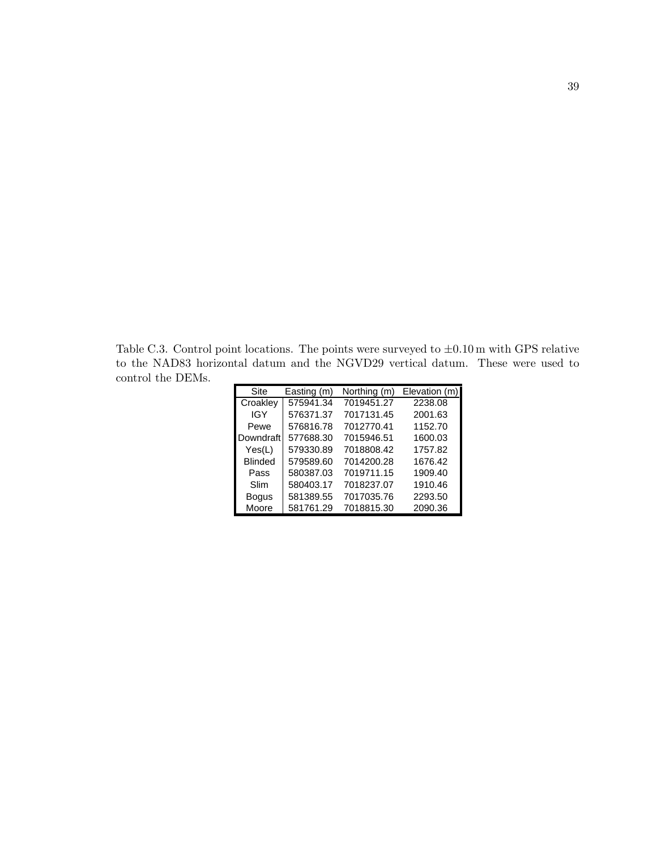Table C.3. Control point locations. The points were surveyed to  $\pm 0.10 \,\mathrm{m}$  with GPS relative to the NAD83 horizontal datum and the NGVD29 vertical datum. These were used to control the DEMs.

|                |             |              | юм чалан анч лю то гр <i>ад т</i> оглом чалан. | T TIODO | - VV UL U<br>- u |
|----------------|-------------|--------------|------------------------------------------------|---------|------------------|
|                |             |              |                                                |         |                  |
| Site           | Easting (m) | Northing (m) | Elevation (m)                                  |         |                  |
| Croakley       | 575941.34   | 7019451.27   | 2238.08                                        |         |                  |
| IGY            | 576371.37   | 7017131.45   | 2001.63                                        |         |                  |
| Pewe           | 576816.78   | 7012770.41   | 1152.70                                        |         |                  |
| Downdraft      | 577688.30   | 7015946.51   | 1600.03                                        |         |                  |
| Yes(L)         | 579330.89   | 7018808.42   | 1757.82                                        |         |                  |
| <b>Blinded</b> | 579589.60   | 7014200.28   | 1676.42                                        |         |                  |
| Pass           | 580387.03   | 7019711.15   | 1909.40                                        |         |                  |
| Slim           | 580403.17   | 7018237.07   | 1910.46                                        |         |                  |
| <b>Bogus</b>   | 581389.55   | 7017035.76   | 2293.50                                        |         |                  |
| Moore          | 581761.29   | 7018815.30   | 2090.36                                        |         |                  |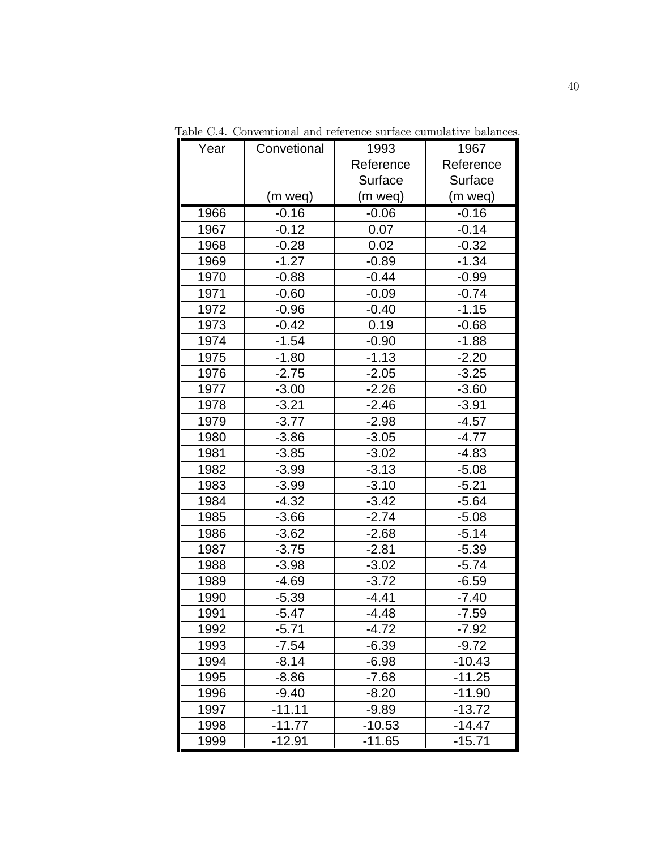| Year | Convetional | 1993      | 1967      |
|------|-------------|-----------|-----------|
|      |             | Reference | Reference |
|      |             | Surface   | Surface   |
|      | (m weq)     | (m weq)   | (m weq)   |
| 1966 | $-0.16$     | $-0.06$   | $-0.16$   |
| 1967 | $-0.12$     | 0.07      | $-0.14$   |
| 1968 | $-0.28$     | 0.02      | $-0.32$   |
| 1969 | $-1.27$     | $-0.89$   | $-1.34$   |
| 1970 | $-0.88$     | $-0.44$   | $-0.99$   |
| 1971 | $-0.60$     | $-0.09$   | $-0.74$   |
| 1972 | $-0.96$     | $-0.40$   | $-1.15$   |
| 1973 | $-0.42$     | 0.19      | $-0.68$   |
| 1974 | $-1.54$     | $-0.90$   | $-1.88$   |
| 1975 | $-1.80$     | $-1.13$   | $-2.20$   |
| 1976 | $-2.75$     | $-2.05$   | $-3.25$   |
| 1977 | $-3.00$     | $-2.26$   | $-3.60$   |
| 1978 | $-3.21$     | $-2.46$   | $-3.91$   |
| 1979 | $-3.77$     | $-2.98$   | $-4.57$   |
| 1980 | $-3.86$     | $-3.05$   | $-4.77$   |
| 1981 | $-3.85$     | $-3.02$   | $-4.83$   |
| 1982 | $-3.99$     | $-3.13$   | $-5.08$   |
| 1983 | $-3.99$     | $-3.10$   | $-5.21$   |
| 1984 | $-4.32$     | $-3.42$   | $-5.64$   |
| 1985 | $-3.66$     | $-2.74$   | $-5.08$   |
| 1986 | $-3.62$     | $-2.68$   | $-5.14$   |
| 1987 | $-3.75$     | $-2.81$   | $-5.39$   |
| 1988 | $-3.98$     | $-3.02$   | $-5.74$   |
| 1989 | -4.69       | $-3.72$   | $-6.59$   |
| 1990 | $-5.39$     | $-4.41$   | $-7.40$   |
| 1991 | $-5.47$     | -4.48     | $-7.59$   |
| 1992 | $-5.71$     | $-4.72$   | $-7.92$   |
| 1993 | $-7.54$     | $-6.39$   | $-9.72$   |
| 1994 | $-8.14$     | $-6.98$   | $-10.43$  |
| 1995 | $-8.86$     | $-7.68$   | $-11.25$  |
| 1996 | $-9.40$     | $-8.20$   | $-11.90$  |
| 1997 | $-11.11$    | $-9.89$   | $-13.72$  |
| 1998 | $-11.77$    | $-10.53$  | $-14.47$  |
| 1999 | $-12.91$    | $-11.65$  | $-15.71$  |

Table C.4. Conventional and reference surface cumulative balances.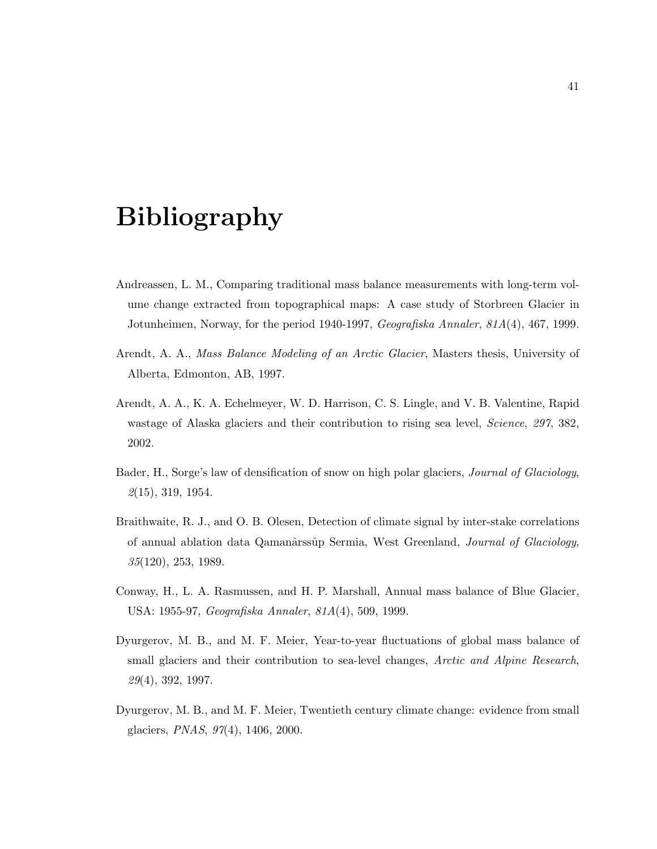# Bibliography

- Andreassen, L. M., Comparing traditional mass balance measurements with long-term volume change extracted from topographical maps: A case study of Storbreen Glacier in Jotunheimen, Norway, for the period 1940-1997, Geografiska Annaler, 81A(4), 467, 1999.
- Arendt, A. A., Mass Balance Modeling of an Arctic Glacier, Masters thesis, University of Alberta, Edmonton, AB, 1997.
- Arendt, A. A., K. A. Echelmeyer, W. D. Harrison, C. S. Lingle, and V. B. Valentine, Rapid wastage of Alaska glaciers and their contribution to rising sea level, *Science*, 297, 382, 2002.
- Bader, H., Sorge's law of densification of snow on high polar glaciers, Journal of Glaciology,  $\mathcal{Q}(15)$ , 319, 1954.
- Braithwaite, R. J., and O. B. Olesen, Detection of climate signal by inter-stake correlations of annual ablation data Qamanârssûp Sermia, West Greenland, Journal of Glaciology, 35(120), 253, 1989.
- Conway, H., L. A. Rasmussen, and H. P. Marshall, Annual mass balance of Blue Glacier, USA: 1955-97, Geografiska Annaler, 81A(4), 509, 1999.
- Dyurgerov, M. B., and M. F. Meier, Year-to-year fluctuations of global mass balance of small glaciers and their contribution to sea-level changes, Arctic and Alpine Research, 29(4), 392, 1997.
- Dyurgerov, M. B., and M. F. Meier, Twentieth century climate change: evidence from small glaciers, PNAS, 97(4), 1406, 2000.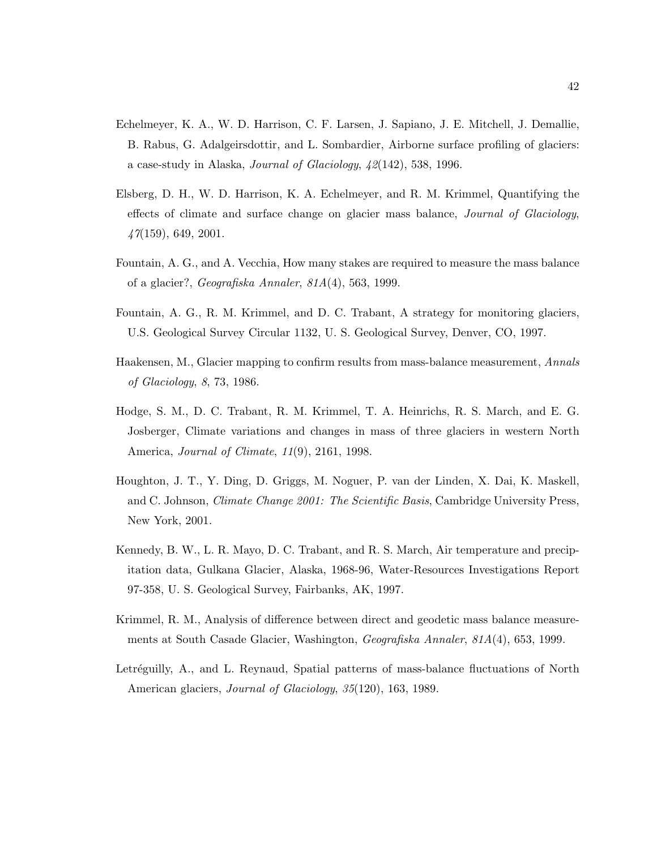- Echelmeyer, K. A., W. D. Harrison, C. F. Larsen, J. Sapiano, J. E. Mitchell, J. Demallie, B. Rabus, G. Adalgeirsdottir, and L. Sombardier, Airborne surface profiling of glaciers: a case-study in Alaska, Journal of Glaciology, 42(142), 538, 1996.
- Elsberg, D. H., W. D. Harrison, K. A. Echelmeyer, and R. M. Krimmel, Quantifying the effects of climate and surface change on glacier mass balance, Journal of Glaciology,  $47(159)$ , 649, 2001.
- Fountain, A. G., and A. Vecchia, How many stakes are required to measure the mass balance of a glacier?, Geografiska Annaler, 81A(4), 563, 1999.
- Fountain, A. G., R. M. Krimmel, and D. C. Trabant, A strategy for monitoring glaciers, U.S. Geological Survey Circular 1132, U. S. Geological Survey, Denver, CO, 1997.
- Haakensen, M., Glacier mapping to confirm results from mass-balance measurement, Annals of Glaciology, 8, 73, 1986.
- Hodge, S. M., D. C. Trabant, R. M. Krimmel, T. A. Heinrichs, R. S. March, and E. G. Josberger, Climate variations and changes in mass of three glaciers in western North America, Journal of Climate, 11(9), 2161, 1998.
- Houghton, J. T., Y. Ding, D. Griggs, M. Noguer, P. van der Linden, X. Dai, K. Maskell, and C. Johnson, *Climate Change 2001: The Scientific Basis*, Cambridge University Press, New York, 2001.
- Kennedy, B. W., L. R. Mayo, D. C. Trabant, and R. S. March, Air temperature and precipitation data, Gulkana Glacier, Alaska, 1968-96, Water-Resources Investigations Report 97-358, U. S. Geological Survey, Fairbanks, AK, 1997.
- Krimmel, R. M., Analysis of difference between direct and geodetic mass balance measurements at South Casade Glacier, Washington, Geografiska Annaler, 81A(4), 653, 1999.
- Letréguilly, A., and L. Reynaud, Spatial patterns of mass-balance fluctuations of North American glaciers, Journal of Glaciology, 35(120), 163, 1989.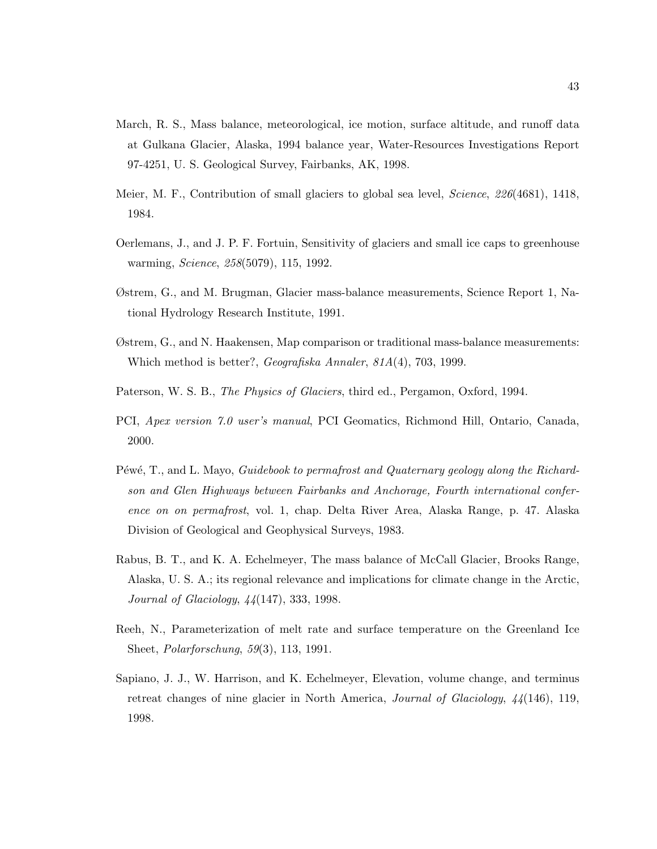- March, R. S., Mass balance, meteorological, ice motion, surface altitude, and runoff data at Gulkana Glacier, Alaska, 1994 balance year, Water-Resources Investigations Report 97-4251, U. S. Geological Survey, Fairbanks, AK, 1998.
- Meier, M. F., Contribution of small glaciers to global sea level, *Science*, 226(4681), 1418, 1984.
- Oerlemans, J., and J. P. F. Fortuin, Sensitivity of glaciers and small ice caps to greenhouse warming, Science, 258(5079), 115, 1992.
- Østrem, G., and M. Brugman, Glacier mass-balance measurements, Science Report 1, National Hydrology Research Institute, 1991.
- Østrem, G., and N. Haakensen, Map comparison or traditional mass-balance measurements: Which method is better?, Geografiska Annaler, 81A(4), 703, 1999.
- Paterson, W. S. B., *The Physics of Glaciers*, third ed., Pergamon, Oxford, 1994.
- PCI, Apex version 7.0 user's manual, PCI Geomatics, Richmond Hill, Ontario, Canada, 2000.
- Péwé, T., and L. Mayo, *Guidebook to permafrost and Quaternary geology along the Richard*son and Glen Highways between Fairbanks and Anchorage, Fourth international conference on on permafrost, vol. 1, chap. Delta River Area, Alaska Range, p. 47. Alaska Division of Geological and Geophysical Surveys, 1983.
- Rabus, B. T., and K. A. Echelmeyer, The mass balance of McCall Glacier, Brooks Range, Alaska, U. S. A.; its regional relevance and implications for climate change in the Arctic, Journal of Glaciology, 44(147), 333, 1998.
- Reeh, N., Parameterization of melt rate and surface temperature on the Greenland Ice Sheet, Polarforschung, 59(3), 113, 1991.
- Sapiano, J. J., W. Harrison, and K. Echelmeyer, Elevation, volume change, and terminus retreat changes of nine glacier in North America, Journal of Glaciology, 44(146), 119, 1998.